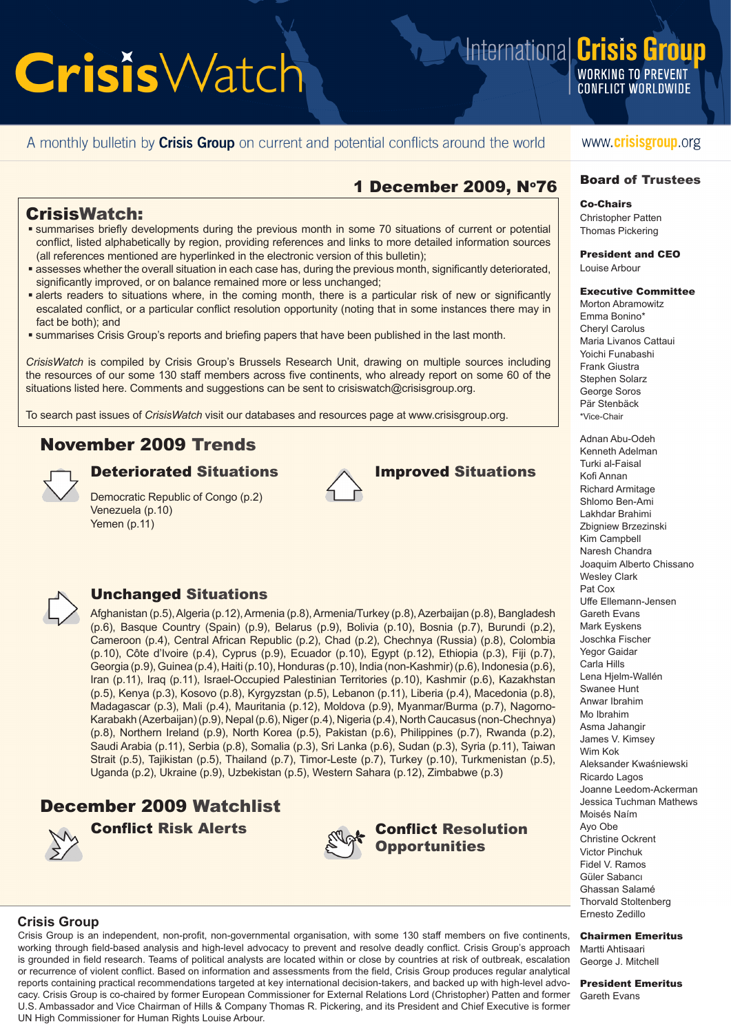**WORKING TO PREVENT CONFLICT WORLDWIDE** 

International **Crisis Group** 

#### A monthly bulletin by **Crisis Group** on current and potential conflicts around the world

#### www.crisisgroup.org

#### 1 December 2009, N°76

#### CrisisWatch:

- **summarises briefly developments during the previous month in some 70 situations of current or potential** conflict, listed alphabetically by region, providing references and links to more detailed information sources (all references mentioned are hyperlinked in the electronic version of this bulletin);
- assesses whether the overall situation in each case has, during the previous month, significantly deteriorated, significantly improved, or on balance remained more or less unchanged;
- alerts readers to situations where, in the coming month, there is a particular risk of new or significantly escalated conflict, or a particular conflict resolution opportunity (noting that in some instances there may in fact be both); and
- summarises Crisis Group's reports and briefing papers that have been published in the last month.

*CrisisWatch* is compiled by Crisis Group's Brussels Research Unit, drawing on multiple sources including the resources of our some 130 staff members across five continents, who already report on some 60 of the situations listed here. Comments and suggestions can be sent to crisiswatch@crisisgroup.org.

To search past issues of *CrisisWatch* visit our databases and resources page at [www.crisisgroup.org.](http://www.crisisgroup.org/)

#### November 2009 Trends



Democratic Republic of Congo (p.2) Venezuela (p.10) Yemen (p.11)



Deteriorated Situations **Improved Situations** 



#### Unchanged Situations

Afghanistan (p.5), Algeria (p.12), Armenia (p.8), Armenia/Turkey (p.8), Azerbaijan (p.8), Bangladesh (p.6), Basque Country (Spain) (p.9), Belarus (p.9), Bolivia (p.10), Bosnia (p.7), Burundi (p.2), Cameroon (p.4), Central African Republic (p.2), Chad (p.2), Chechnya (Russia) (p.8), Colombia (p.10), Côte d'Ivoire (p.4), Cyprus (p.9), Ecuador (p.10), Egypt (p.12), Ethiopia (p.3), Fiji (p.7), Georgia (p.9), Guinea (p.4), Haiti (p.10), Honduras (p.10), India (non-Kashmir) (p.6), Indonesia (p.6), Iran (p.11), Iraq (p.11), Israel-Occupied Palestinian Territories (p.10), Kashmir (p.6), Kazakhstan (p.5), Kenya (p.3), Kosovo (p.8), Kyrgyzstan (p.5), Lebanon (p.11), Liberia (p.4), Macedonia (p.8), Madagascar (p.3), Mali (p.4), Mauritania (p.12), Moldova (p.9), Myanmar/Burma (p.7), Nagorno-Karabakh (Azerbaijan) (p.9), Nepal (p.6), Niger (p.4), Nigeria (p.4), North Caucasus (non-Chechnya) (p.8), Northern Ireland (p.9), North Korea (p.5), Pakistan (p.6), Philippines (p.7), Rwanda (p.2), Saudi Arabia (p.11), Serbia (p.8), Somalia (p.3), Sri Lanka (p.6), Sudan (p.3), Syria (p.11), Taiwan Strait (p.5), Tajikistan (p.5), Thailand (p.7), Timor-Leste (p.7), Turkey (p.10), Turkmenistan (p.5), Uganda (p.2), Ukraine (p.9), Uzbekistan (p.5), Western Sahara (p.12), Zimbabwe (p.3)

#### December 2009 Watchlist







### **Opportunities**

### Board of Trustees

Co-Chairs Christopher Patten

Thomas Pickering President and CEO

Louise Arbour

#### Executive Committee

Morton Abramowitz Emma Bonino\* Cheryl Carolus Maria Livanos Cattaui Yoichi Funabashi Frank Giustra Stephen Solarz George Soros Pär Stenbäck \*Vice-Chair

Adnan Abu-Odeh Kenneth Adelman Turki al-Faisal Kofi Annan Richard Armitage Shlomo Ben-Ami Lakhdar Brahimi Zbigniew Brzezinski Kim Campbell Naresh Chandra Joaquim Alberto Chissano Wesley Clark Pat Cox Uffe Ellemann-Jensen Gareth Evans Mark Eyskens Joschka Fischer Yegor Gaidar Carla Hills Lena Hielm-Wallén Swanee Hunt Anwar Ibrahim Mo Ibrahim Asma Jahangir James V. Kimsey Wim Kok Aleksander Kwaśniewski Ricardo Lagos Joanne Leedom-Ackerman Jessica Tuchman Mathews Moisés Naím Ayo Obe Christine Ockrent Victor Pinchuk Fidel V. Ramos Güler Sabancı Ghassan Salamé Thorvald Stoltenberg Ernesto Zedillo

#### Chairmen Emeritus

Martti Ahtisaari George J. Mitchell

President Emeritus Gareth Evans

#### **Crisis Group**

Crisis Group is an independent, non-profit, non-governmental organisation, with some 130 staff members on five continents, working through field-based analysis and high-level advocacy to prevent and resolve deadly conflict. Crisis Group's approach is grounded in field research. Teams of political analysts are located within or close by countries at risk of outbreak, escalation or recurrence of violent conflict. Based on information and assessments from the field, Crisis Group produces regular analytical reports containing practical recommendations targeted at key international decision-takers, and backed up with high-level advocacy. Crisis Group is co-chaired by former European Commissioner for External Relations Lord (Christopher) Patten and former U.S. Ambassador and Vice Chairman of Hills & Company Thomas R. Pickering, and its President and Chief Executive is former UN High Commissioner for Human Rights Louise Arbour.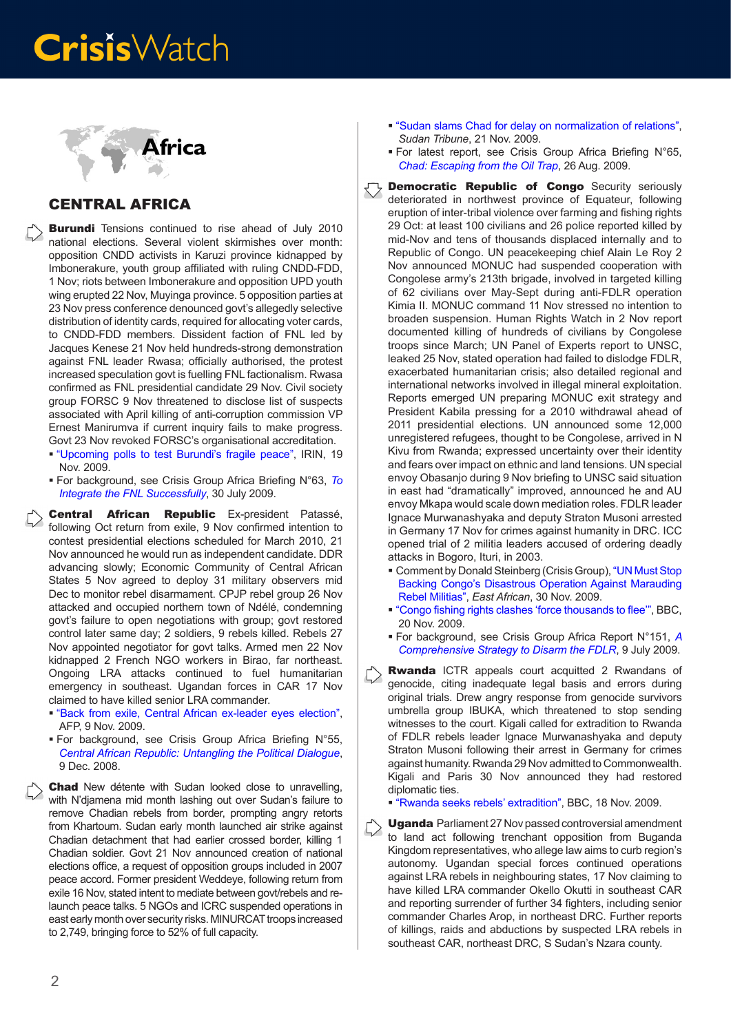

#### CENTRAL AFRICA

**Burundi** Tensions continued to rise ahead of July 2010 national elections. Several violent skirmishes over month: opposition CNDD activists in Karuzi province kidnapped by Imbonerakure, youth group affiliated with ruling CNDD-FDD, 1 Nov; riots between Imbonerakure and opposition UPD youth wing erupted 22 Nov, Muyinga province. 5 opposition parties at 23 Nov press conference denounced govt's allegedly selective distribution of identity cards, required for allocating voter cards, to CNDD-FDD members. Dissident faction of FNL led by Jacques Kenese 21 Nov held hundreds-strong demonstration against FNL leader Rwasa; officially authorised, the protest increased speculation govt is fuelling FNL factionalism. Rwasa confirmed as FNL presidential candidate 29 Nov. Civil society group FORSC 9 Nov threatened to disclose list of suspects associated with April killing of anti-corruption commission VP Ernest Manirumva if current inquiry fails to make progress. Govt 23 Nov revoked FORSC's organisational accreditation.

- ["Upcoming polls to test Burundi's fragile peace"](http://www.irinnews.org/Report.aspx?ReportId=87117), IRIN, 19 Nov. 2009.
- For background, see Crisis Group Africa Briefing N°63, *[To](http://www.crisisgroup.org/home/index.cfm?id=6249&l=1) [Integrate the FNL Successfully](http://www.crisisgroup.org/home/index.cfm?id=6249&l=1)*, 30 July 2009.

Central African Republic Ex-president Patassé, following Oct return from exile, 9 Nov confirmed intention to contest presidential elections scheduled for March 2010, 21 Nov announced he would run as independent candidate. DDR advancing slowly; Economic Community of Central African States 5 Nov agreed to deploy 31 military observers mid Dec to monitor rebel disarmament. CPJP rebel group 26 Nov attacked and occupied northern town of Ndélé, condemning govt's failure to open negotiations with group; govt restored control later same day; 2 soldiers, 9 rebels killed. Rebels 27 Nov appointed negotiator for govt talks. Armed men 22 Nov kidnapped 2 French NGO workers in Birao, far northeast. Ongoing LRA attacks continued to fuel humanitarian emergency in southeast. Ugandan forces in CAR 17 Nov claimed to have killed senior LRA commander.

- ["Back from exile, Central African ex-leader eyes election",](http://www.google.com/hostednews/afp/article/ALeqM5hp-UjVOvciA9vaELL7iTuS_NvfBA) AFP, 9 Nov. 2009.
- For background, see Crisis Group Africa Briefing N°55, *[Central African Republic: Untangling the Political Dialogue](http://www.crisisgroup.org/home/index.cfm?id=5800&l=1)*, 9 Dec. 2008.

**Chad** New détente with Sudan looked close to unravelling, with N'djamena mid month lashing out over Sudan's failure to remove Chadian rebels from border, prompting angry retorts from Khartoum. Sudan early month launched air strike against Chadian detachment that had earlier crossed border, killing 1 Chadian soldier. Govt 21 Nov announced creation of national elections office, a request of opposition groups included in 2007 peace accord. Former president Weddeye, following return from exile 16 Nov, stated intent to mediate between govt/rebels and relaunch peace talks. 5 NGOs and ICRC suspended operations in east early month over security risks. MINURCAT troops increased to 2,749, bringing force to 52% of full capacity.

- ["Sudan slams Chad for delay on normalization of relations"](http://www.sudantribune.com/spip.php?article33197), *Sudan Tribune*, 21 Nov. 2009.
- For latest report, see Crisis Group Africa Briefing N°65, *[Chad: Escaping from the Oil Trap](http://www.crisisgroup.org/home/index.cfm?id=6288&l=1)*, 26 Aug. 2009.
- **Democratic Republic of Congo** Security seriously deteriorated in northwest province of Equateur, following eruption of inter-tribal violence over farming and fishing rights 29 Oct: at least 100 civilians and 26 police reported killed by mid-Nov and tens of thousands displaced internally and to Republic of Congo. UN peacekeeping chief Alain Le Roy 2 Nov announced MONUC had suspended cooperation with Congolese army's 213th brigade, involved in targeted killing of 62 civilians over May-Sept during anti-FDLR operation Kimia II. MONUC command 11 Nov stressed no intention to broaden suspension. Human Rights Watch in 2 Nov report documented killing of hundreds of civilians by Congolese troops since March; UN Panel of Experts report to UNSC, leaked 25 Nov, stated operation had failed to dislodge FDLR, exacerbated humanitarian crisis; also detailed regional and international networks involved in illegal mineral exploitation. Reports emerged UN preparing MONUC exit strategy and President Kabila pressing for a 2010 withdrawal ahead of 2011 presidential elections. UN announced some 12,000 unregistered refugees, thought to be Congolese, arrived in N Kivu from Rwanda; expressed uncertainty over their identity and fears over impact on ethnic and land tensions. UN special envoy Obasanjo during 9 Nov briefing to UNSC said situation in east had "dramatically" improved, announced he and AU envoy Mkapa would scale down mediation roles. FDLR leader Ignace Murwanashyaka and deputy Straton Musoni arrested in Germany 17 Nov for crimes against humanity in DRC. ICC opened trial of 2 militia leaders accused of ordering deadly attacks in Bogoro, Ituri, in 2003.
	- Comment by Donald Steinberg (Crisis Group), ["UN Must Stop](http://www.crisisgroup.org/home/index.cfm?id=6404&l=1)  [Backing Congo's Disastrous Operation Against Marauding](http://www.crisisgroup.org/home/index.cfm?id=6404&l=1)  [Rebel Militias"](http://www.crisisgroup.org/home/index.cfm?id=6404&l=1), *East African*, 30 Nov. 2009.
	- ["Congo fishing rights clashes 'force thousands to flee'](http://news.bbc.co.uk/2/hi/africa/8370875.stm)", BBC, 20 Nov. 2009.
	- For background, see Crisis Group Africa Report N°151, *[A](http://www.crisisgroup.org/home/index.cfm?id=6209&l=1)  [Comprehensive Strategy to Disarm the FDLR](http://www.crisisgroup.org/home/index.cfm?id=6209&l=1)*, 9 July 2009.
	- **Rwanda** ICTR appeals court acquitted 2 Rwandans of genocide, citing inadequate legal basis and errors during original trials. Drew angry response from genocide survivors umbrella group IBUKA, which threatened to stop sending witnesses to the court. Kigali called for extradition to Rwanda of FDLR rebels leader Ignace Murwanashyaka and deputy Straton Musoni following their arrest in Germany for crimes against humanity. Rwanda 29 Nov admitted to Commonwealth. Kigali and Paris 30 Nov announced they had restored diplomatic ties.
		- ["Rwanda seeks rebels' extradition"](http://news.bbc.co.uk/2/hi/africa/8365949.stm), BBC, 18 Nov. 2009.
	- Uganda Parliament 27 Nov passed controversial amendment to land act following trenchant opposition from Buganda Kingdom representatives, who allege law aims to curb region's autonomy. Ugandan special forces continued operations against LRA rebels in neighbouring states, 17 Nov claiming to have killed LRA commander Okello Okutti in southeast CAR and reporting surrender of further 34 fighters, including senior commander Charles Arop, in northeast DRC. Further reports of killings, raids and abductions by suspected LRA rebels in southeast CAR, northeast DRC, S Sudan's Nzara county.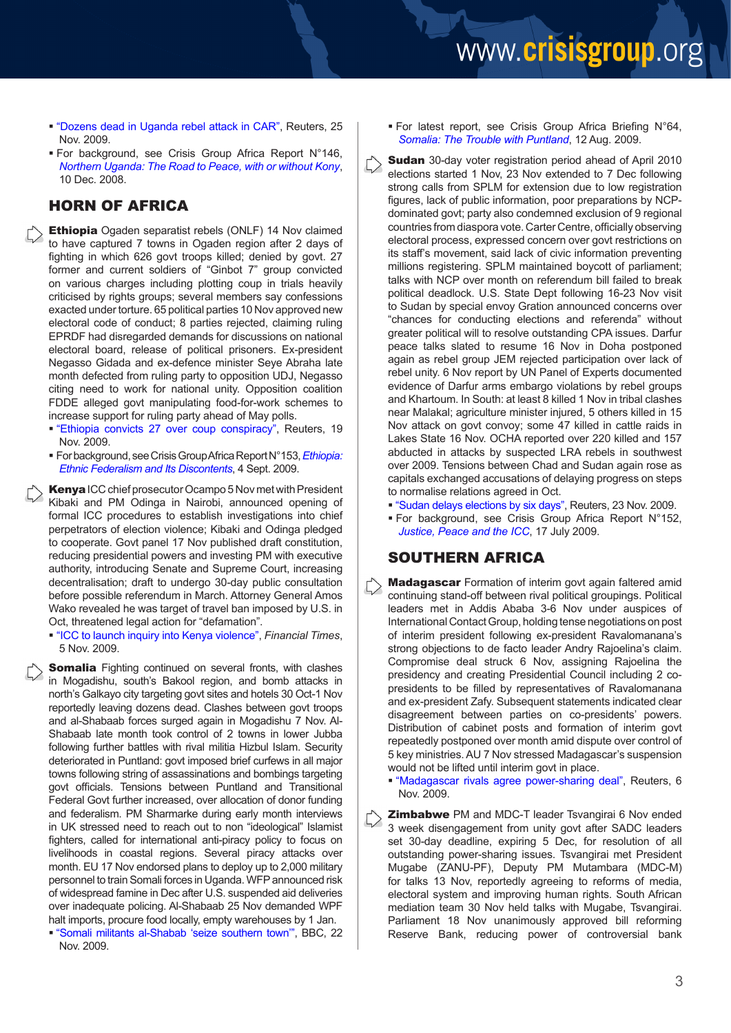- ["Dozens dead in Uganda rebel attack in CAR",](http://news.yahoo.com/s/nm/20091125/wl_nm/us_centralafrica_uganda_rebels) Reuters, 25 Nov. 2009.
- For background, see Crisis Group Africa Report N°146, *[Northern Uganda: The Road to Peace, with or without Kony](http://www.crisisgroup.org/home/index.cfm?id=5804&l=1)*, 10 Dec. 2008.

#### HORN OF AFRICA

- **Ethiopia** Ogaden separatist rebels (ONLF) 14 Nov claimed to have captured 7 towns in Ogaden region after 2 days of fighting in which 626 govt troops killed; denied by govt. 27 former and current soldiers of "Ginbot 7" group convicted on various charges including plotting coup in trials heavily criticised by rights groups; several members say confessions exacted under torture. 65 political parties 10 Nov approved new electoral code of conduct; 8 parties rejected, claiming ruling EPRDF had disregarded demands for discussions on national electoral board, release of political prisoners. Ex-president Negasso Gidada and ex-defence minister Seye Abraha late month defected from ruling party to opposition UDJ, Negasso citing need to work for national unity. Opposition coalition FDDE alleged govt manipulating food-for-work schemes to increase support for ruling party ahead of May polls.
	- ["Ethiopia convicts 27 over coup conspiracy"](http://af.reuters.com/article/topNews/idAFJOE5AI0QQ20091119?sp=true), Reuters, 19 Nov. 2009.
	- For background, see Crisis Group Africa Report N°153, *[Ethiopia:](http://www.crisisgroup.org/home/index.cfm?id=6300&l=1) [Ethnic Federalism and Its Discontents](http://www.crisisgroup.org/home/index.cfm?id=6300&l=1)*, 4 Sept. 2009.
- Kenya ICC chief prosecutor Ocampo 5 Nov met with President Kibaki and PM Odinga in Nairobi, announced opening of formal ICC procedures to establish investigations into chief perpetrators of election violence; Kibaki and Odinga pledged to cooperate. Govt panel 17 Nov published draft constitution, reducing presidential powers and investing PM with executive authority, introducing Senate and Supreme Court, increasing decentralisation; draft to undergo 30-day public consultation before possible referendum in March. Attorney General Amos Wako revealed he was target of travel ban imposed by U.S. in Oct, threatened legal action for "defamation".
	- ["ICC to launch inquiry into Kenya violence",](http://www.ft.com/cms/s/0/ff792e14-c9f9-11de-a5b5-00144feabdc0.html) *Financial Times*, 5 Nov. 2009.

**Somalia** Fighting continued on several fronts, with clashes in Mogadishu, south's Bakool region, and bomb attacks in north's Galkayo city targeting govt sites and hotels 30 Oct-1 Nov reportedly leaving dozens dead. Clashes between govt troops and al-Shabaab forces surged again in Mogadishu 7 Nov. Al-Shabaab late month took control of 2 towns in lower Jubba following further battles with rival militia Hizbul Islam. Security deteriorated in Puntland: govt imposed brief curfews in all major towns following string of assassinations and bombings targeting govt officials. Tensions between Puntland and Transitional Federal Govt further increased, over allocation of donor funding and federalism. PM Sharmarke during early month interviews in UK stressed need to reach out to non "ideological" Islamist fighters, called for international anti-piracy policy to focus on livelihoods in coastal regions. Several piracy attacks over month. EU 17 Nov endorsed plans to deploy up to 2,000 military personnel to train Somali forces in Uganda. WFP announced risk of widespread famine in Dec after U.S. suspended aid deliveries over inadequate policing. Al-Shabaab 25 Nov demanded WPF halt imports, procure food locally, empty warehouses by 1 Jan.

 ["Somali militants al-Shabab 'seize southern town'](http://news.bbc.co.uk/2/hi/africa/8373158.stm)", BBC, 22 Nov. 2009.

- For latest report, see Crisis Group Africa Briefing N°64, *[Somalia: The Trouble with Puntland](http://www.crisisgroup.org/home/index.cfm?id=6264&l=1)*, 12 Aug. 2009.
- Sudan 30-day voter registration period ahead of April 2010 elections started 1 Nov, 23 Nov extended to 7 Dec following strong calls from SPLM for extension due to low registration figures, lack of public information, poor preparations by NCPdominated govt; party also condemned exclusion of 9 regional countries from diaspora vote. Carter Centre, officially observing electoral process, expressed concern over govt restrictions on its staff's movement, said lack of civic information preventing millions registering. SPLM maintained boycott of parliament; talks with NCP over month on referendum bill failed to break political deadlock. U.S. State Dept following 16-23 Nov visit to Sudan by special envoy Gration announced concerns over "chances for conducting elections and referenda" without greater political will to resolve outstanding CPA issues. Darfur peace talks slated to resume 16 Nov in Doha postponed again as rebel group JEM rejected participation over lack of rebel unity. 6 Nov report by UN Panel of Experts documented evidence of Darfur arms embargo violations by rebel groups and Khartoum. In South: at least 8 killed 1 Nov in tribal clashes near Malakal; agriculture minister injured, 5 others killed in 15 Nov attack on govt convoy; some 47 killed in cattle raids in Lakes State 16 Nov. OCHA reported over 220 killed and 157 abducted in attacks by suspected LRA rebels in southwest over 2009. Tensions between Chad and Sudan again rose as capitals exchanged accusations of delaying progress on steps to normalise relations agreed in Oct.
	- ["Sudan delays elections by six days",](http://af.reuters.com/article/topNews/idAFJOE5AM01S20091123?sp=true) Reuters, 23 Nov. 2009.
	- For background, see Crisis Group Africa Report N°152, *[Justice, Peace and the ICC](http://www.crisisgroup.org/home/index.cfm?id=6226&l=1)*, 17 July 2009.

#### SOUTHERN AFRICA

**Madagascar** Formation of interim govt again faltered amid continuing stand-off between rival political groupings. Political leaders met in Addis Ababa 3-6 Nov under auspices of International Contact Group, holding tense negotiations on post of interim president following ex-president Ravalomanana's strong objections to de facto leader Andry Rajoelina's claim. Compromise deal struck 6 Nov, assigning Rajoelina the presidency and creating Presidential Council including 2 copresidents to be filled by representatives of Ravalomanana and ex-president Zafy. Subsequent statements indicated clear disagreement between parties on co-presidents' powers. Distribution of cabinet posts and formation of interim govt repeatedly postponed over month amid dispute over control of 5 key ministries. AU 7 Nov stressed Madagascar's suspension would not be lifted until interim govt in place.

 ["Madagascar rivals agree power-sharing deal"](http://www.reuters.com/article/worldNews/idUSTRE5A60AG20091107?feedType=RSS&feedName=worldNews&utm_source=feedburner&utm_medium=feed&utm_campaign=Feed%3A+reuters%2FworldNews+(News+%2F+US+%2F+International)&utm_content=Google+Reader), Reuters, 6 Nov. 2009.

**Zimbabwe** PM and MDC-T leader Tsvangirai 6 Nov ended 3 week disengagement from unity govt after SADC leaders set 30-day deadline, expiring 5 Dec, for resolution of all outstanding power-sharing issues. Tsvangirai met President Mugabe (ZANU-PF), Deputy PM Mutambara (MDC-M) for talks 13 Nov, reportedly agreeing to reforms of media, electoral system and improving human rights. South African mediation team 30 Nov held talks with Mugabe, Tsvangirai. Parliament 18 Nov unanimously approved bill reforming Reserve Bank, reducing power of controversial bank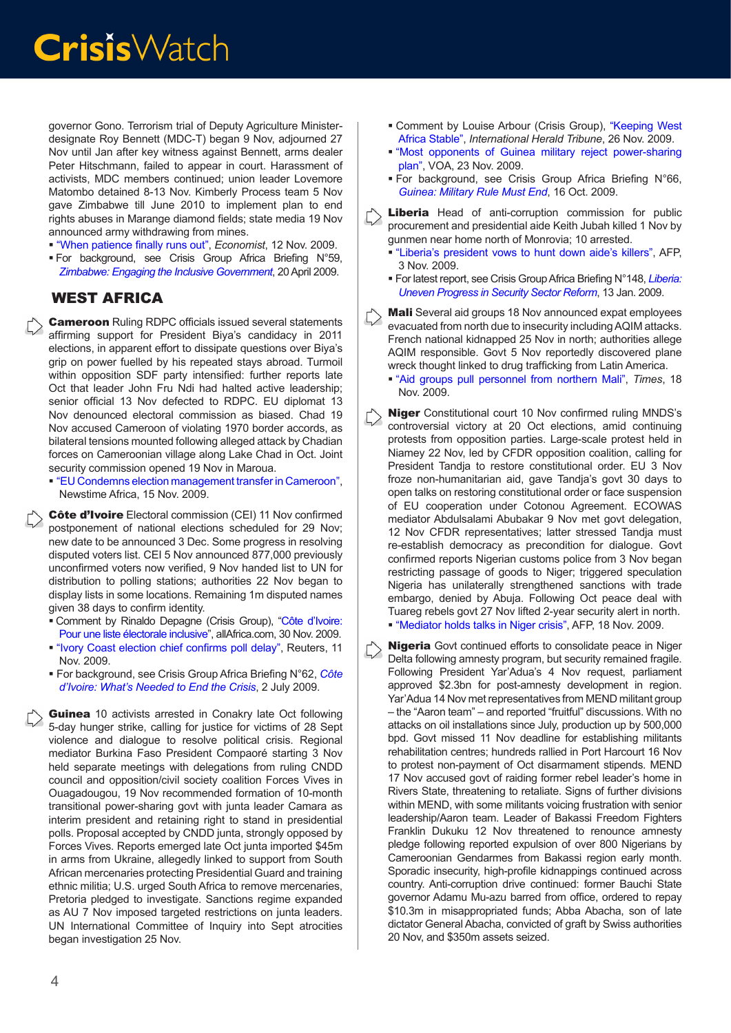governor Gono. Terrorism trial of Deputy Agriculture Ministerdesignate Roy Bennett (MDC-T) began 9 Nov, adjourned 27 Nov until Jan after key witness against Bennett, arms dealer Peter Hitschmann, failed to appear in court. Harassment of activists, MDC members continued; union leader Lovemore Matombo detained 8-13 Nov. Kimberly Process team 5 Nov gave Zimbabwe till June 2010 to implement plan to end rights abuses in Marange diamond fields; state media 19 Nov announced army withdrawing from mines.

- ["When patience finally runs out](http://www.economist.com/world/middleeast-africa/displaystory.cfm?story_id=14861577)", *Economist*, 12 Nov. 2009.
- For background, see Crisis Group Africa Briefing N°59, *[Zimbabwe: Engaging the Inclusive Government](http://www.crisisgroup.org/home/index.cfm?id=6064&l=1)*, 20 April 2009.

#### WEST AFRICA

**Cameroon** Ruling RDPC officials issued several statements affirming support for President Biya's candidacy in 2011 elections, in apparent effort to dissipate questions over Biya's grip on power fuelled by his repeated stays abroad. Turmoil within opposition SDF party intensified: further reports late Oct that leader John Fru Ndi had halted active leadership; senior official 13 Nov defected to RDPC. EU diplomat 13 Nov denounced electoral commission as biased. Chad 19 Nov accused Cameroon of violating 1970 border accords, as bilateral tensions mounted following alleged attack by Chadian forces on Cameroonian village along Lake Chad in Oct. Joint security commission opened 19 Nov in Maroua.

 ["EU Condemns election management transfer in Cameroon",](http://www.newstimeafrica.com/archives/6216) Newstime Africa, 15 Nov. 2009.

Côte d'Ivoire Electoral commission (CEI) 11 Nov confirmed postponement of national elections scheduled for 29 Nov; new date to be announced 3 Dec. Some progress in resolving disputed voters list. CEI 5 Nov announced 877,000 previously unconfirmed voters now verified, 9 Nov handed list to UN for distribution to polling stations; authorities 22 Nov began to display lists in some locations. Remaining 1m disputed names given 38 days to confirm identity.

- Comment by Rinaldo Depagne (Crisis Group), "Côte d'Ivoire: Pour une liste électorale inclusive", allAfrica.com, 30 Nov. 2009.
- ["Ivory Coast election chief confirms poll delay](http://www.reuters.com/article/africaCrisis/idUSLB279965)", Reuters, 11 Nov. 2009.
- For background, see Crisis Group Africa Briefing N°62, *[Côte](http://www.crisisgroup.org/home/index.cfm?id=6202&l=1) [d'Ivoire: What's Needed to End the Crisis](http://www.crisisgroup.org/home/index.cfm?id=6202&l=1)*, 2 July 2009.

```
Guinea 10 activists arrested in Conakry late Oct following
5-day hunger strike, calling for justice for victims of 28 Sept 
violence and dialogue to resolve political crisis. Regional 
mediator Burkina Faso President Compaoré starting 3 Nov 
held separate meetings with delegations from ruling CNDD 
council and opposition/civil society coalition Forces Vives in 
Ouagadougou, 19 Nov recommended formation of 10-month 
transitional power-sharing govt with junta leader Camara as 
interim president and retaining right to stand in presidential 
polls. Proposal accepted by CNDD junta, strongly opposed by 
Forces Vives. Reports emerged late Oct junta imported $45m 
in arms from Ukraine, allegedly linked to support from South 
African mercenaries protecting Presidential Guard and training 
ethnic militia; U.S. urged South Africa to remove mercenaries, 
Pretoria pledged to investigate. Sanctions regime expanded 
as AU 7 Nov imposed targeted restrictions on junta leaders. 
UN International Committee of Inquiry into Sept atrocities 
began investigation 25 Nov.
```
- **Comment by Louise Arbour (Crisis Group), "Keeping West** [Africa Stable"](http://www.nytimes.com/2009/11/27/opinion/27iht-edarbour.html?_r=1), *International Herald Tribune*, 26 Nov. 2009.
- ["Most opponents of Guinea military reject power-sharing](http://www1.voanews.com/english/news/africa/Most-Opponents-of-Guinea-Military-Reject-Power-Sharing-Plan-71737577.html)  plan[", VOA, 23 Nov. 2009.](http://www1.voanews.com/english/news/africa/Most-Opponents-of-Guinea-Military-Reject-Power-Sharing-Plan-71737577.html)
- For background, see Crisis Group Africa Briefing N°66, *[Guinea: Military Rule Must End](http://www.crisisgroup.org/home/index.cfm?id=6349)*, 16 Oct. 2009.
- Liberia Head of anti-corruption commission for public procurement and presidential aide Keith Jubah killed 1 Nov by gunmen near home north of Monrovia; 10 arrested.
	- ["Liberia's president vows to hunt down aide's killers",](http://www.google.com/hostednews/afp/article/ALeqM5jZLR7bC4938wNeSkxDU_TPdlXfdw) AFP, 3 Nov. 2009.
	- For latest report, see Crisis Group Africa Briefing N°148, *[Liberia:](http://www.crisisgroup.org/home/index.cfm?id=5867&l=1)  [Uneven Progress in Security Sector Reform](http://www.crisisgroup.org/home/index.cfm?id=5867&l=1)*, 13 Jan. 2009.
- Mali Several aid groups 18 Nov announced expat employees evacuated from north due to insecurity including AQIM attacks. French national kidnapped 25 Nov in north; authorities allege AQIM responsible. Govt 5 Nov reportedly discovered plane wreck thought linked to drug trafficking from Latin America.
	- ["Aid groups pull personnel from northern Mali](http://www.timeslive.co.za/news/africa/article200037.ece)", *Times*, 18 Nov. 2009.
- Niger Constitutional court 10 Nov confirmed ruling MNDS's controversial victory at 20 Oct elections, amid continuing protests from opposition parties. Large-scale protest held in Niamey 22 Nov, led by CFDR opposition coalition, calling for President Tandja to restore constitutional order. EU 3 Nov froze non-humanitarian aid, gave Tandja's govt 30 days to open talks on restoring constitutional order or face suspension of EU cooperation under Cotonou Agreement. ECOWAS mediator Abdulsalami Abubakar 9 Nov met govt delegation, 12 Nov CFDR representatives; latter stressed Tandja must re-establish democracy as precondition for dialogue. Govt confirmed reports Nigerian customs police from 3 Nov began restricting passage of goods to Niger; triggered speculation Nigeria has unilaterally strengthened sanctions with trade embargo, denied by Abuja. Following Oct peace deal with Tuareg rebels govt 27 Nov lifted 2-year security alert in north. ["Mediator holds talks in Niger crisis",](http://www.google.com/hostednews/afp/article/ALeqM5h-4NBeHMXTAtEV3vwWTm-04N81dg) AFP, 18 Nov. 2009.

Nigeria Govt continued efforts to consolidate peace in Niger Delta following amnesty program, but security remained fragile. Following President Yar'Adua's 4 Nov request, parliament approved \$2.3bn for post-amnesty development in region. Yar'Adua 14 Nov met representatives from MEND militant group – the "Aaron team" – and reported "fruitful" discussions. With no attacks on oil installations since July, production up by 500,000 bpd. Govt missed 11 Nov deadline for establishing militants rehabilitation centres; hundreds rallied in Port Harcourt 16 Nov to protest non-payment of Oct disarmament stipends. MEND 17 Nov accused govt of raiding former rebel leader's home in Rivers State, threatening to retaliate. Signs of further divisions within MEND, with some militants voicing frustration with senior leadership/Aaron team. Leader of Bakassi Freedom Fighters Franklin Dukuku 12 Nov threatened to renounce amnesty pledge following reported expulsion of over 800 Nigerians by Cameroonian Gendarmes from Bakassi region early month. Sporadic insecurity, high-profile kidnappings continued across country. Anti-corruption drive continued: former Bauchi State governor Adamu Mu-azu barred from office, ordered to repay \$10.3m in misappropriated funds; Abba Abacha, son of late dictator General Abacha, convicted of graft by Swiss authorities 20 Nov, and \$350m assets seized.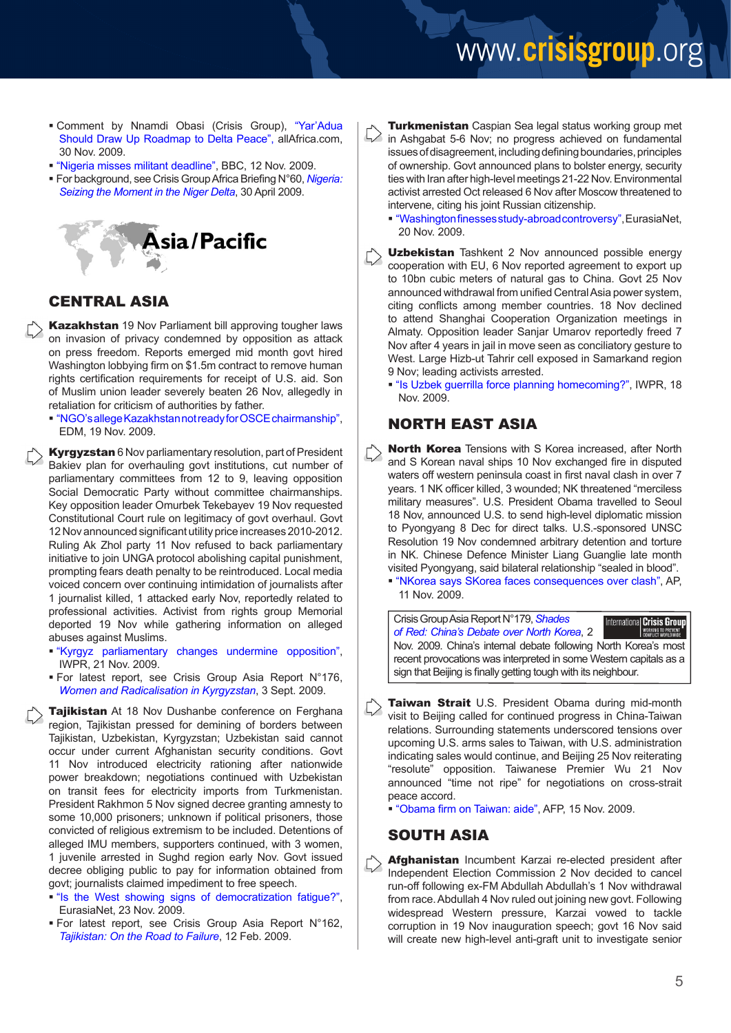### www.crisisgroup.org

- Comment by Nnamdi Obasi (Crisis Group), "Yar'Adua Should Draw Up Roadmap to Delta Peace", allAfrica.com, 30 Nov. 2009.
- ["Nigeria misses militant deadline",](http://news.bbc.co.uk/2/hi/africa/8357167.stm) BBC, 12 Nov. 2009.
- For background, see Crisis Group Africa Briefing N°60, *[Nigeria:](http://www.crisisgroup.org/home/index.cfm?id=6080&l=1) [Seizing the Moment in the Niger Delta](http://www.crisisgroup.org/home/index.cfm?id=6080&l=1)*, 30 April 2009.



#### CENTRAL ASIA

Kazakhstan 19 Nov Parliament bill approving tougher laws on invasion of privacy condemned by opposition as attack on press freedom. Reports emerged mid month govt hired Washington lobbying firm on \$1.5m contract to remove human rights certification requirements for receipt of U.S. aid. Son of Muslim union leader severely beaten 26 Nov, allegedly in retaliation for criticism of authorities by father.

 ["NGO's allege Kazakhstan not ready for OSCE chairmanship"](http://www.jamestown.org/single/?no_cache=1&tx_ttnews%5btt_news%5d=35752&tx_ttnews%5bbackPid%5d=13&cHash=633f350ace), EDM, 19 Nov. 2009.

**Kyrgyzstan** 6 Nov parliamentary resolution, part of President Bakiev plan for overhauling govt institutions, cut number of parliamentary committees from 12 to 9, leaving opposition Social Democratic Party without committee chairmanships. Key opposition leader Omurbek Tekebayev 19 Nov requested Constitutional Court rule on legitimacy of govt overhaul. Govt 12 Nov announced significant utility price increases 2010-2012. Ruling Ak Zhol party 11 Nov refused to back parliamentary initiative to join UNGA protocol abolishing capital punishment, prompting fears death penalty to be reintroduced. Local media voiced concern over continuing intimidation of journalists after 1 journalist killed, 1 attacked early Nov, reportedly related to professional activities. Activist from rights group Memorial deported 19 Nov while gathering information on alleged abuses against Muslims.

- ["Kyrgyz parliamentary changes undermine opposition"](http://iwpr.net/?p=rca&s=f&o=357635&apc_state=henprca), IWPR, 21 Nov. 2009.
- For latest report, see Crisis Group Asia Report N°176, *[Women and Radicalisation in Kyrgyzstan](http://www.crisisgroup.org/home/index.cfm?id=6296&l=1)*, 3 Sept. 2009.

**Tajikistan** At 18 Nov Dushanbe conference on Ferghana region, Tajikistan pressed for demining of borders between Tajikistan, Uzbekistan, Kyrgyzstan; Uzbekistan said cannot occur under current Afghanistan security conditions. Govt 11 Nov introduced electricity rationing after nationwide power breakdown; negotiations continued with Uzbekistan on transit fees for electricity imports from Turkmenistan. President Rakhmon 5 Nov signed decree granting amnesty to some 10,000 prisoners; unknown if political prisoners, those convicted of religious extremism to be included. Detentions of alleged IMU members, supporters continued, with 3 women, 1 juvenile arrested in Sughd region early Nov. Govt issued decree obliging public to pay for information obtained from govt; journalists claimed impediment to free speech.

- "[Is the West showing signs of democratization fatigue?"](http://www.eurasianet.org/departments/civilsociety/articles/eav112309.shtml), EurasiaNet, 23 Nov. 2009.
- For latest report, see Crisis Group Asia Report N°162, *[Tajikistan: On the Road to Failure](http://www.crisisgroup.org/home/index.cfm?id=5907&l=1)*, 12 Feb. 2009.

**Turkmenistan** Caspian Sea legal status working group met in Ashgabat 5-6 Nov; no progress achieved on fundamental issues of disagreement, including defining boundaries, principles of ownership. Govt announced plans to bolster energy, security ties with Iran after high-level meetings 21-22 Nov. Environmental activist arrested Oct released 6 Nov after Moscow threatened to intervene, citing his joint Russian citizenship.

 ["Washington finesses study-abroad controversy](http://www.eurasianet.org/departments/civilsociety/articles/eav112009.shtml)", EurasiaNet, 20 Nov. 2009.

- Uzbekistan Tashkent 2 Nov announced possible energy cooperation with EU, 6 Nov reported agreement to export up to 10bn cubic meters of natural gas to China. Govt 25 Nov announced withdrawal from unified Central Asia power system, citing conflicts among member countries. 18 Nov declined to attend Shanghai Cooperation Organization meetings in Almaty. Opposition leader Sanjar Umarov reportedly freed 7 Nov after 4 years in jail in move seen as conciliatory gesture to West. Large Hizb-ut Tahrir cell exposed in Samarkand region 9 Nov; leading activists arrested.
	- ["Is Uzbek guerrilla force planning homecoming?"](http://iwpr.net/?p=rca&s=f&o=357558&apc_state=henh), IWPR, 18 Nov. 2009.

#### NORTH EAST ASIA

North Korea Tensions with S Korea increased, after North and S Korean naval ships 10 Nov exchanged fire in disputed waters off western peninsula coast in first naval clash in over 7 years. 1 NK officer killed, 3 wounded; NK threatened "merciless military measures". U.S. President Obama travelled to Seoul 18 Nov, announced U.S. to send high-level diplomatic mission to Pyongyang 8 Dec for direct talks. U.S.-sponsored UNSC Resolution 19 Nov condemned arbitrary detention and torture in NK. Chinese Defence Minister Liang Guanglie late month visited Pyongyang, said bilateral relationship "sealed in blood".

 ["NKorea says SKorea faces consequences over clash",](http://www.google.com/hostednews/ap/article/ALeqM5haCFqFsb0gc4n9YqW4dSms9Vtq8gD9BTOI0O0) AP, 11 Nov. 2009.

Crisis Group Asia Report N°179, *[Shades](http://www.crisisgroup.org/home/index.cfm?id=6370&l=1)*  International Crisis Grou *[of Red: China's Debate over North Korea](http://www.crisisgroup.org/home/index.cfm?id=6370&l=1)*, 2 Nov. 2009. China's internal debate following North Korea's most recent provocations was interpreted in some Western capitals as a sign that Beijing is finally getting tough with its neighbour.

- Taiwan Strait U.S. President Obama during mid-month visit to Beijing called for continued progress in China-Taiwan relations. Surrounding statements underscored tensions over upcoming U.S. arms sales to Taiwan, with U.S. administration indicating sales would continue, and Beijing 25 Nov reiterating "resolute" opposition. Taiwanese Premier Wu 21 Nov announced "time not ripe" for negotiations on cross-strait peace accord.
	- " "[Obama firm on Taiwan: aide](http://www.google.com/hostednews/afp/article/ALeqM5h2lkIABEXRaAXpj_FE2ALjnxXBQQ)", AFP, 15 Nov. 2009.

#### SOUTH ASIA

Afghanistan Incumbent Karzai re-elected president after 5> Independent Election Commission 2 Nov decided to cancel run-off following ex-FM Abdullah Abdullah's 1 Nov withdrawal from race. Abdullah 4 Nov ruled out joining new govt. Following widespread Western pressure, Karzai vowed to tackle corruption in 19 Nov inauguration speech; govt 16 Nov said will create new high-level anti-graft unit to investigate senior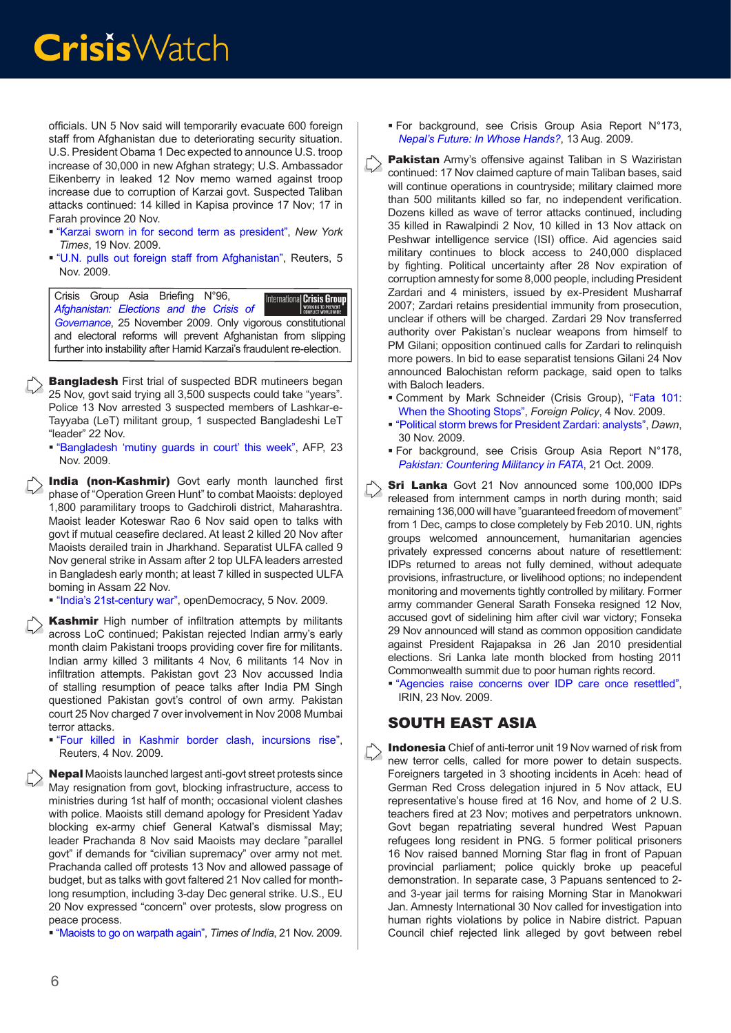officials. UN 5 Nov said will temporarily evacuate 600 foreign staff from Afghanistan due to deteriorating security situation. U.S. President Obama 1 Dec expected to announce U.S. troop increase of 30,000 in new Afghan strategy; U.S. Ambassador Eikenberry in leaked 12 Nov memo warned against troop increase due to corruption of Karzai govt. Suspected Taliban attacks continued: 14 killed in Kapisa province 17 Nov; 17 in Farah province 20 Nov.

- ["Karzai sworn in for second term as president"](http://www.nytimes.com/2009/11/20/world/asia/20afghan.html?partner=rss&emc=rss), *New York Times*, 19 Nov. 2009.
- ["U.N. pulls out foreign staff from Afghanistan",](http://www.alertnet.org/thenews/newsdesk/ISL354255.htm) Reuters, 5 Nov. 2009.

Crisis Group Asia Briefing N°96, International Crisis Group *[Afghanistan: Elections and the Crisis of](http:/http://www.crisisgroup.org/home/index.cfm?id=6376)  [Governance](http:/http://www.crisisgroup.org/home/index.cfm?id=6376)*, 25 November 2009. Only vigorous constitutional and electoral reforms will prevent Afghanistan from slipping further into instability after Hamid Karzai's fraudulent re-election.

**Bangladesh** First trial of suspected BDR mutineers began 25 Nov, govt said trying all 3,500 suspects could take "years". Police 13 Nov arrested 3 suspected members of Lashkar-e-Tayyaba (LeT) militant group, 1 suspected Bangladeshi LeT "leader" 22 Nov.

 "[Bangladesh 'mutiny guards in court' this week](http://news.yahoo.com/s/afp/20091123/wl_sthasia_afp/bangladeshunresttrial)", AFP, 23 Nov. 2009.

India (non-Kashmir) Govt early month launched first phase of "Operation Green Hunt" to combat Maoists: deployed 1,800 paramilitary troops to Gadchiroli district, Maharashtra. Maoist leader Koteswar Rao 6 Nov said open to talks with govt if mutual ceasefire declared. At least 2 killed 20 Nov after Maoists derailed train in Jharkhand. Separatist ULFA called 9 Nov general strike in Assam after 2 top ULFA leaders arrested in Bangladesh early month; at least 7 killed in suspected ULFA boming in Assam 22 Nov.

["India's 21st-century war",](http://www.opendemocracy.net/openindia/paul-rogers/india%E2%80%99s-21st-century-war) openDemocracy, 5 Nov. 2009.

Kashmir High number of infiltration attempts by militants across LoC continued; Pakistan rejected Indian army's early month claim Pakistani troops providing cover fire for militants. Indian army killed 3 militants 4 Nov, 6 militants 14 Nov in infiltration attempts. Pakistan govt 23 Nov accussed India of stalling resumption of peace talks after India PM Singh questioned Pakistan govt's control of own army. Pakistan court 25 Nov charged 7 over involvement in Nov 2008 Mumbai terror attacks.

 ["Four killed in Kashmir border clash, incursions rise",](http://news.yahoo.com/s/nm/20091104/india_nm/india436765) Reuters, 4 Nov. 2009.

Nepal Maoists launched largest anti-govt street protests since May resignation from govt, blocking infrastructure, access to ministries during 1st half of month; occasional violent clashes with police. Maoists still demand apology for President Yadav blocking ex-army chief General Katwal's dismissal May; leader Prachanda 8 Nov said Maoists may declare "parallel govt" if demands for "civilian supremacy" over army not met. Prachanda called off protests 13 Nov and allowed passage of budget, but as talks with govt faltered 21 Nov called for monthlong resumption, including 3-day Dec general strike. U.S., EU 20 Nov expressed "concern" over protests, slow progress on peace process.

["Maoists to go on warpath again",](http://timesofindia.indiatimes.com/world/south-asia/Maoists-to-go-on-warpath-again/articleshow/5255572.cms) *Times of India*, 21 Nov. 2009.

- For background, see Crisis Group Asia Report N°173, *[Nepal's Future: In Whose Hands?](http://www.crisisgroup.org/home/index.cfm?id=6269&l=1)*, 13 Aug. 2009.
- Pakistan Army's offensive against Taliban in S Waziristan continued: 17 Nov claimed capture of main Taliban bases, said will continue operations in countryside; military claimed more than 500 militants killed so far, no independent verification. Dozens killed as wave of terror attacks continued, including 35 killed in Rawalpindi 2 Nov, 10 killed in 13 Nov attack on Peshwar intelligence service (ISI) office. Aid agencies said military continues to block access to 240,000 displaced by fighting. Political uncertainty after 28 Nov expiration of corruption amnesty for some 8,000 people, including President Zardari and 4 ministers, issued by ex-President Musharraf 2007; Zardari retains presidential immunity from prosecution, unclear if others will be charged. Zardari 29 Nov transferred authority over Pakistan's nuclear weapons from himself to PM Gilani: opposition continued calls for Zardari to relinquish more powers. In bid to ease separatist tensions Gilani 24 Nov announced Balochistan reform package, said open to talks with Baloch leaders.
	- Comment by Mark Schneider (Crisis Group), "[Fata 101:](http://www.crisisgroup.org/home/index.cfm?id=6378&l=1)  [When the Shooting Stops"](http://www.crisisgroup.org/home/index.cfm?id=6378&l=1), *Foreign Policy*, 4 Nov. 2009.
	- ["Political storm brews for President Zardari: analysts"](http://www.dawn.com/wps/wcm/connect/dawn-content-library/dawn/news/pakistan/04-political-storm-brews-for-president-zardari-qs-06?utm_source=feedburner&utm_medium=feed&utm_campaign=Feed%3A+dawn%2Fnews%2Fpakistan+%28DAWN.COM+-+Pakistan+News%29&utm_content=Go), *Dawn*, 30 Nov. 2009.
	- For background, see Crisis Group Asia Report N°178, *[Pakistan: Countering Militancy in FATA](http://www.crisisgroup.org/home/index.cfm?id=6356&l=1)*, 21 Oct. 2009.
- **Sri Lanka** Govt 21 Nov announced some 100,000 IDPs released from internment camps in north during month; said remaining 136,000 will have "guaranteed freedom of movement" from 1 Dec, camps to close completely by Feb 2010. UN, rights groups welcomed announcement, humanitarian agencies privately expressed concerns about nature of resettlement: IDPs returned to areas not fully demined, without adequate provisions, infrastructure, or livelihood options; no independent monitoring and movements tightly controlled by military. Former army commander General Sarath Fonseka resigned 12 Nov, accused govt of sidelining him after civil war victory; Fonseka 29 Nov announced will stand as common opposition candidate against President Rajapaksa in 26 Jan 2010 presidential elections. Sri Lanka late month blocked from hosting 2011 Commonwealth summit due to poor human rights record.
	- ["Agencies raise concerns over IDP care once resettled"](http://www.alertnet.org/thenews/newsdesk/IRIN/551c820fd371deba66859d18f1fab7c9.htm), IRIN, 23 Nov. 2009.

#### SOUTH EAST ASIA

Indonesia Chief of anti-terror unit 19 Nov warned of risk from new terror cells, called for more power to detain suspects. Foreigners targeted in 3 shooting incidents in Aceh: head of German Red Cross delegation injured in 5 Nov attack, EU representative's house fired at 16 Nov, and home of 2 U.S. teachers fired at 23 Nov; motives and perpetrators unknown. Govt began repatriating several hundred West Papuan refugees long resident in PNG. 5 former political prisoners 16 Nov raised banned Morning Star flag in front of Papuan provincial parliament; police quickly broke up peaceful demonstration. In separate case, 3 Papuans sentenced to 2 and 3-year jail terms for raising Morning Star in Manokwari Jan. Amnesty International 30 Nov called for investigation into human rights violations by police in Nabire district. Papuan Council chief rejected link alleged by govt between rebel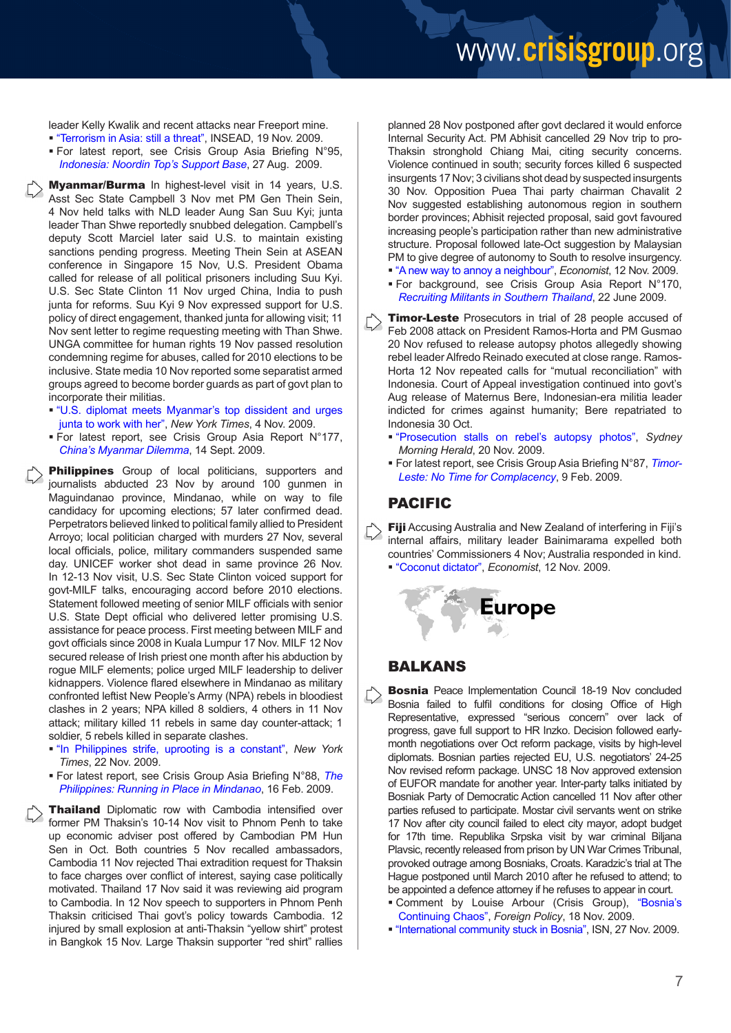### www.crisisgroup.org

leader Kelly Kwalik and recent attacks near Freeport mine.

- ["Terrorism in Asia: still a threat",](http://knowledge.insead.edu/terrorism-asia-threat-091119.cfm) INSEAD, 19 Nov. 2009.
- For latest report, see Crisis Group Asia Briefing N°95, *[Indonesia: Noordin Top's Support Base](http://www.crisisgroup.org/home/index.cfm?id=6289&l=1)*, 27 Aug. 2009.

Myanmar/Burma In highest-level visit in 14 years, U.S. Asst Sec State Campbell 3 Nov met PM Gen Thein Sein, 4 Nov held talks with NLD leader Aung San Suu Kyi; junta leader Than Shwe reportedly snubbed delegation. Campbell's deputy Scott Marciel later said U.S. to maintain existing sanctions pending progress. Meeting Thein Sein at ASEAN conference in Singapore 15 Nov, U.S. President Obama called for release of all political prisoners including Suu Kyi. U.S. Sec State Clinton 11 Nov urged China, India to push junta for reforms. Suu Kyi 9 Nov expressed support for U.S. policy of direct engagement, thanked junta for allowing visit; 11 Nov sent letter to regime requesting meeting with Than Shwe. UNGA committee for human rights 19 Nov passed resolution condemning regime for abuses, called for 2010 elections to be inclusive. State media 10 Nov reported some separatist armed groups agreed to become border guards as part of govt plan to incorporate their militias.

- ["U.S. diplomat meets Myanmar's top dissident and urges](http://www.nytimes.com/2009/11/05/world/asia/05myanmar.html) [junta to work with her"](http://www.nytimes.com/2009/11/05/world/asia/05myanmar.html), *New York Times*, 4 Nov. 2009.
- For latest report, see Crisis Group Asia Report N°177, *[China's Myanmar Dilemma](http://www.crisisgroup.org/home/index.cfm?id=6308&l=1)*, 14 Sept. 2009.

Philippines Group of local politicians, supporters and journalists abducted 23 Nov by around 100 gunmen in Maguindanao province, Mindanao, while on way to file candidacy for upcoming elections; 57 later confirmed dead. Perpetrators believed linked to political family allied to President Arroyo; local politician charged with murders 27 Nov, several local officials, police, military commanders suspended same day. UNICEF worker shot dead in same province 26 Nov. In 12-13 Nov visit, U.S. Sec State Clinton voiced support for govt-MILF talks, encouraging accord before 2010 elections. Statement followed meeting of senior MILF officials with senior U.S. State Dept official who delivered letter promising U.S. assistance for peace process. First meeting between MILF and govt officials since 2008 in Kuala Lumpur 17 Nov. MILF 12 Nov secured release of Irish priest one month after his abduction by rogue MILF elements; police urged MILF leadership to deliver kidnappers. Violence flared elsewhere in Mindanao as military confronted leftist New People's Army (NPA) rebels in bloodiest clashes in 2 years; NPA killed 8 soldiers, 4 others in 11 Nov attack; military killed 11 rebels in same day counter-attack; 1 soldier, 5 rebels killed in separate clashes.

- ["In Philippines strife, uprooting is a constant"](http://www.nytimes.com/2009/11/23/world/asia/23phils.html), *New York Times*, 22 Nov. 2009.
- For latest report, see Crisis Group Asia Briefing N°88, *[The](http://www.crisisgroup.org/home/index.cfm?id=5921&l=1) [Philippines: Running in Place in Mindanao](http://www.crisisgroup.org/home/index.cfm?id=5921&l=1)*, 16 Feb. 2009.

**Thailand** Diplomatic row with Cambodia intensified over former PM Thaksin's 10-14 Nov visit to Phnom Penh to take up economic adviser post offered by Cambodian PM Hun Sen in Oct. Both countries 5 Nov recalled ambassadors, Cambodia 11 Nov rejected Thai extradition request for Thaksin to face charges over conflict of interest, saying case politically motivated. Thailand 17 Nov said it was reviewing aid program to Cambodia. In 12 Nov speech to supporters in Phnom Penh Thaksin criticised Thai govt's policy towards Cambodia. 12 injured by small explosion at anti-Thaksin "yellow shirt" protest in Bangkok 15 Nov. Large Thaksin supporter "red shirt" rallies

planned 28 Nov postponed after govt declared it would enforce Internal Security Act. PM Abhisit cancelled 29 Nov trip to pro-Thaksin stronghold Chiang Mai, citing security concerns. Violence continued in south; security forces killed 6 suspected insurgents 17 Nov; 3 civilians shot dead by suspected insurgents 30 Nov. Opposition Puea Thai party chairman Chavalit 2 Nov suggested establishing autonomous region in southern border provinces; Abhisit rejected proposal, said govt favoured increasing people's participation rather than new administrative structure. Proposal followed late-Oct suggestion by Malaysian PM to give degree of autonomy to South to resolve insurgency.

- ["A new way to annoy a neighbour"](http://www.economist.com/world/asia/displaystory.cfm?story_id=14857229), *Economist*, 12 Nov. 2009.
- For background, see Crisis Group Asia Report N°170, *[Recruiting Militants in Southern Thailand](http://www.crisisgroup.org/home/index.cfm?id=6170&l=1)*, 22 June 2009.

**Timor-Leste** Prosecutors in trial of 28 people accused of Feb 2008 attack on President Ramos-Horta and PM Gusmao 20 Nov refused to release autopsy photos allegedly showing rebel leader Alfredo Reinado executed at close range. Ramos-Horta 12 Nov repeated calls for "mutual reconciliation" with Indonesia. Court of Appeal investigation continued into govt's Aug release of Maternus Bere, Indonesian-era militia leader indicted for crimes against humanity; Bere repatriated to Indonesia 30 Oct.

- ["Prosecution stalls on rebel's autopsy photos",](http://www.smh.com.au/world/prosecution-stalls-on-rebels-autopsy-photos-20091119-iow7.html) *Sydney Morning Herald*, 20 Nov. 2009.
- For latest report, see Crisis Group Asia Briefing N°87, *[Timor-](http://www.crisisgroup.org/home/index.cfm?id=5900&l=1)[Leste: No Time for Complacency](http://www.crisisgroup.org/home/index.cfm?id=5900&l=1)*, 9 Feb. 2009.

#### PACIFIC

Fiji Accusing Australia and New Zealand of interfering in Fiji's internal affairs, military leader Bainimarama expelled both countries' Commissioners 4 Nov; Australia responded in kind.

Europe

["Coconut dictator"](http://www.economist.com/world/asia/displaystory.cfm?story_id=14861536), *Economist*, 12 Nov. 2009.



- Bosnia Peace Implementation Council 18-19 Nov concluded Bosnia failed to fulfil conditions for closing Office of High Representative, expressed "serious concern" over lack of progress, gave full support to HR Inzko. Decision followed earlymonth negotiations over Oct reform package, visits by high-level diplomats. Bosnian parties rejected EU, U.S. negotiators' 24-25 Nov revised reform package. UNSC 18 Nov approved extension of EUFOR mandate for another year. Inter-party talks initiated by Bosniak Party of Democratic Action cancelled 11 Nov after other parties refused to participate. Mostar civil servants went on strike 17 Nov after city council failed to elect city mayor, adopt budget for 17th time. Republika Srpska visit by war criminal Biljana Plavsic, recently released from prison by UN War Crimes Tribunal, provoked outrage among Bosniaks, Croats. Karadzic's trial at The Hague postponed until March 2010 after he refused to attend; to be appointed a defence attorney if he refuses to appear in court.
	- Comment by Louise Arbour (Crisis Group), ["Bosnia's](http://www.crisisgroup.org/home/index.cfm?id=6395&l=1)  [Continuing Chaos"](http://www.crisisgroup.org/home/index.cfm?id=6395&l=1), *Foreign Policy*, 18 Nov. 2009.
	- ["International community stuck in Bosnia",](http://www.isn.ethz.ch/isn/Current-Affairs/Security-Watch/Detail/?ots591=4888CAA0-B3DB-1461-98B9-E20E7B9C13D4&lng=en&id=110001) ISN, 27 Nov. 2009.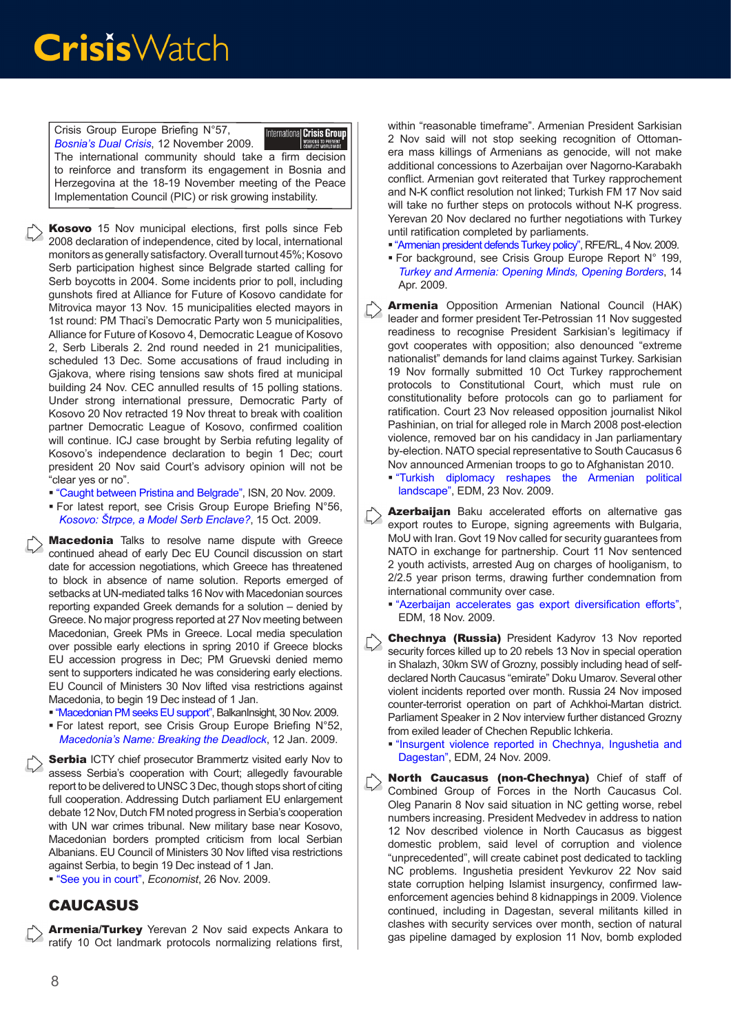Crisis Group Europe Briefing N°57, International Crisis Group *[Bosnia's Dual Crisis](http://www.crisisgroup.org/home/index.cfm?id=6386&l=1)*, 12 November 2009. The international community should take a firm decision to reinforce and transform its engagement in Bosnia and Herzegovina at the 18-19 November meeting of the Peace Implementation Council (PIC) or risk growing instability.

- Kosovo 15 Nov municipal elections, first polls since Feb 2008 declaration of independence, cited by local, international monitors as generally satisfactory. Overall turnout 45%; Kosovo Serb participation highest since Belgrade started calling for Serb boycotts in 2004. Some incidents prior to poll, including gunshots fired at Alliance for Future of Kosovo candidate for Mitrovica mayor 13 Nov. 15 municipalities elected mayors in 1st round: PM Thaci's Democratic Party won 5 municipalities, Alliance for Future of Kosovo 4, Democratic League of Kosovo 2, Serb Liberals 2. 2nd round needed in 21 municipalities, scheduled 13 Dec. Some accusations of fraud including in Gjakova, where rising tensions saw shots fired at municipal building 24 Nov. CEC annulled results of 15 polling stations. Under strong international pressure, Democratic Party of Kosovo 20 Nov retracted 19 Nov threat to break with coalition partner Democratic League of Kosovo, confirmed coalition will continue. ICJ case brought by Serbia refuting legality of Kosovo's independence declaration to begin 1 Dec; court president 20 Nov said Court's advisory opinion will not be "clear yes or no".
	- ["Caught between Pristina and Belgrade"](http://www.isn.ethz.ch/isn/Current-Affairs/Security-Watch/Detail/?lng=en&id=109776), ISN, 20 Nov. 2009.
	- For latest report, see Crisis Group Europe Briefing N°56, *[Kosovo: Štrpce, a Model Serb Enclave?](http://www.crisisgroup.org/home/index.cfm?id=6346&l=1)*, 15 Oct. 2009.

Macedonia Talks to resolve name dispute with Greece continued ahead of early Dec EU Council discussion on start date for accession negotiations, which Greece has threatened to block in absence of name solution. Reports emerged of setbacks at UN-mediated talks 16 Nov with Macedonian sources reporting expanded Greek demands for a solution – denied by Greece. No major progress reported at 27 Nov meeting between Macedonian, Greek PMs in Greece. Local media speculation over possible early elections in spring 2010 if Greece blocks EU accession progress in Dec; PM Gruevski denied memo sent to supporters indicated he was considering early elections. EU Council of Ministers 30 Nov lifted visa restrictions against Macedonia, to begin 19 Dec instead of 1 Jan.

- ["Macedonian PM seeks EU support",](http://www.balkaninsight.com/en/main/news/24048/) BalkanInsight, 30 Nov. 2009.
- For latest report, see Crisis Group Europe Briefing N°52, *[Macedonia's Name: Breaking the Deadlock](http://www.crisisgroup.org/home/index.cfm?id=5862&l=1)*, 12 Jan. 2009.

Serbia ICTY chief prosecutor Brammertz visited early Nov to assess Serbia's cooperation with Court; allegedly favourable report to be delivered to UNSC 3 Dec, though stops short of citing full cooperation. Addressing Dutch parliament EU enlargement debate 12 Nov, Dutch FM noted progress in Serbia's cooperation with UN war crimes tribunal. New military base near Kosovo, Macedonian borders prompted criticism from local Serbian Albanians. EU Council of Ministers 30 Nov lifted visa restrictions against Serbia, to begin 19 Dec instead of 1 Jan.

["See you in court",](http://www.economist.com/world/europe/displaystory.cfm?story_id=14973190) *Economist*, 26 Nov. 2009.

#### **CAUCASUS**

Armenia/Turkey Yerevan 2 Nov said expects Ankara to ratify 10 Oct landmark protocols normalizing relations first, within "reasonable timeframe". Armenian President Sarkisian 2 Nov said will not stop seeking recognition of Ottomanera mass killings of Armenians as genocide, will not make additional concessions to Azerbaijan over Nagorno-Karabakh conflict. Armenian govt reiterated that Turkey rapprochement and N-K conflict resolution not linked; Turkish FM 17 Nov said will take no further steps on protocols without N-K progress. Yerevan 20 Nov declared no further negotiations with Turkey until ratification completed by parliaments.

- ["Armenian president defends Turkey policy",](http://www.rferl.org/content/Armenian_President_Defends_Turkey_Policy/1869223.html) RFE/RL, 4 Nov. 2009.
- For background, see Crisis Group Europe Report N° 199, *[Turkey and Armenia: Opening Minds, Opening Borders](http://www.crisisgroup.org/home/index.cfm?id=6050&l=1)*, 14 Apr. 2009.
- Armenia Opposition Armenian National Council (HAK) leader and former president Ter-Petrossian 11 Nov suggested readiness to recognise President Sarkisian's legitimacy if govt cooperates with opposition; also denounced "extreme nationalist" demands for land claims against Turkey. Sarkisian 19 Nov formally submitted 10 Oct Turkey rapprochement protocols to Constitutional Court, which must rule on constitutionality before protocols can go to parliament for ratification. Court 23 Nov released opposition journalist Nikol Pashinian, on trial for alleged role in March 2008 post-election violence, removed bar on his candidacy in Jan parliamentary by-election. NATO special representative to South Caucasus 6 Nov announced Armenian troops to go to Afghanistan 2010.
	- ["Turkish diplomacy reshapes the Armenian political](http://www.jamestown.org/programs/edm/single/?tx_ttnews%5btt_news%5d=35765&tx_ttnews%5bbackPid%5d=27&cHash=d75d3dafa4)  landscape"[, EDM, 23 Nov. 2009.](http://www.jamestown.org/programs/edm/single/?tx_ttnews%5btt_news%5d=35765&tx_ttnews%5bbackPid%5d=27&cHash=d75d3dafa4)
- Azerbaijan Baku accelerated efforts on alternative gas export routes to Europe, signing agreements with Bulgaria, MoU with Iran. Govt 19 Nov called for security guarantees from NATO in exchange for partnership. Court 11 Nov sentenced 2 youth activists, arrested Aug on charges of hooliganism, to 2/2.5 year prison terms, drawing further condemnation from international community over case.

 ["Azerbaijan accelerates gas export diversification efforts](http://www.jamestown.org/single/?no_cache=1&tx_ttnews%5Btt_news%5D=35741&tx_ttnews%5BbackPid%5D=13&cHash=c266069531)", EDM, 18 Nov. 2009.

- Chechnya (Russia) President Kadyrov 13 Nov reported security forces killed up to 20 rebels 13 Nov in special operation in Shalazh, 30km SW of Grozny, possibly including head of selfdeclared North Caucasus "emirate" Doku Umarov. Several other violent incidents reported over month. Russia 24 Nov imposed counter-terrorist operation on part of Achkhoi-Martan district. Parliament Speaker in 2 Nov interview further distanced Grozny from exiled leader of Chechen Republic Ichkeria.
	- ["Insurgent violence reported in Chechnya, Ingushetia and](http://www.jamestown.org/programs/ncw/single/?tx_ttnews%5btt_news%5d=35768&tx_ttnews%5bbackPid%5d=24&cHash=4418aef17c)  [Dagestan"](http://www.jamestown.org/programs/ncw/single/?tx_ttnews%5btt_news%5d=35768&tx_ttnews%5bbackPid%5d=24&cHash=4418aef17c), EDM, 24 Nov. 2009.
- North Caucasus (non-Chechnya) Chief of staff of Combined Group of Forces in the North Caucasus Col. Oleg Panarin 8 Nov said situation in NC getting worse, rebel numbers increasing. President Medvedev in address to nation 12 Nov described violence in North Caucasus as biggest domestic problem, said level of corruption and violence "unprecedented", will create cabinet post dedicated to tackling NC problems. Ingushetia president Yevkurov 22 Nov said state corruption helping Islamist insurgency, confirmed lawenforcement agencies behind 8 kidnappings in 2009. Violence continued, including in Dagestan, several militants killed in clashes with security services over month, section of natural gas pipeline damaged by explosion 11 Nov, bomb exploded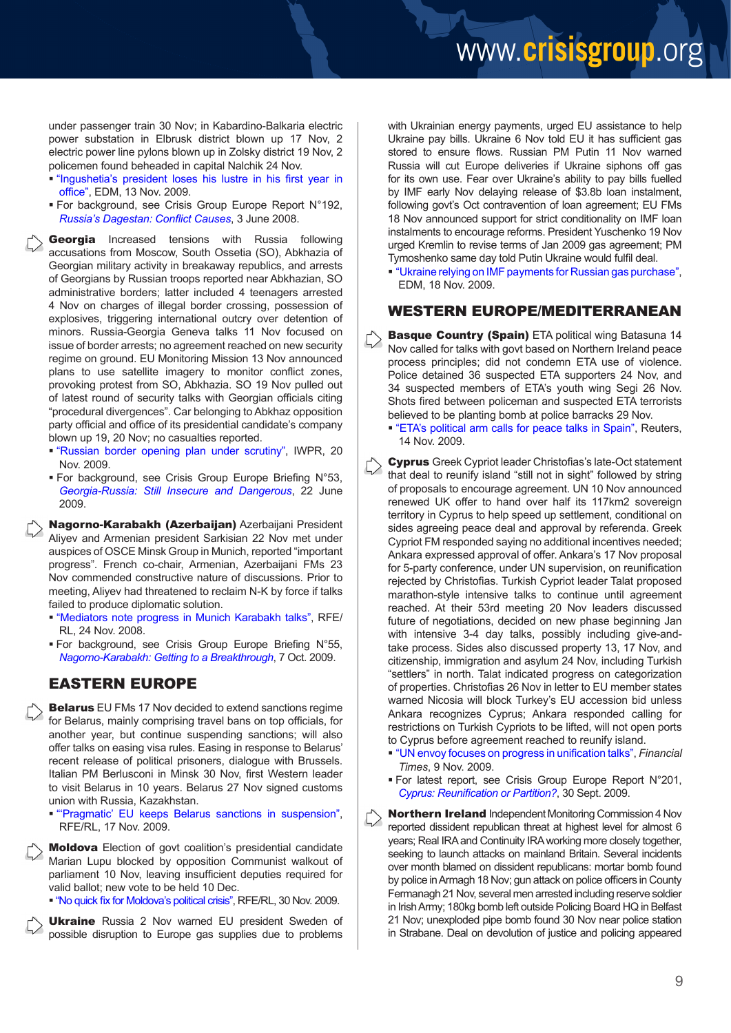under passenger train 30 Nov; in Kabardino-Balkaria electric power substation in Elbrusk district blown up 17 Nov, 2 electric power line pylons blown up in Zolsky district 19 Nov, 2 policemen found beheaded in capital Nalchik 24 Nov.

- ["Ingushetia's president loses his lustre in his first year in](http://www.jamestown.org/programs/ncw/single/?tx_ttnews%5btt_news%5d=35731&tx_ttnews%5bbackPid%5d=24&cHash=f083e4962a) [office](http://www.jamestown.org/programs/ncw/single/?tx_ttnews%5btt_news%5d=35731&tx_ttnews%5bbackPid%5d=24&cHash=f083e4962a)", EDM, 13 Nov. 2009.
- For background, see Crisis Group Europe Report N°192, *[Russia's Dagestan: Conflict Cause](http://www.crisisgroup.org/home/index.cfm?id=5466&l=1)s*, 3 June 2008.

Georgia Increased tensions with Russia following accusations from Moscow, South Ossetia (SO), Abkhazia of Georgian military activity in breakaway republics, and arrests of Georgians by Russian troops reported near Abkhazian, SO administrative borders; latter included 4 teenagers arrested 4 Nov on charges of illegal border crossing, possession of explosives, triggering international outcry over detention of minors. Russia-Georgia Geneva talks 11 Nov focused on issue of border arrests; no agreement reached on new security regime on ground. EU Monitoring Mission 13 Nov announced plans to use satellite imagery to monitor conflict zones, provoking protest from SO, Abkhazia. SO 19 Nov pulled out of latest round of security talks with Georgian officials citing "procedural divergences". Car belonging to Abkhaz opposition party official and office of its presidential candidate's company blown up 19, 20 Nov; no casualties reported.

- ["Russian border opening plan under scrutiny"](http://www.iwpr.net/?p=crs&s=f&o=357607&apc_state=henpcrs), IWPR, 20 Nov. 2009.
- For background, see Crisis Group Europe Briefing N°53, *[Georgia-Russia: Still Insecure and Dangerous](http://www.crisisgroup.org/home/index.cfm?id=6171&l=1)*, 22 June 2009.

Nagorno-Karabakh (Azerbaijan) Azerbaijani President Aliyev and Armenian president Sarkisian 22 Nov met under auspices of OSCE Minsk Group in Munich, reported "important progress". French co-chair, Armenian, Azerbaijani FMs 23 Nov commended constructive nature of discussions. Prior to meeting, Aliyev had threatened to reclaim N-K by force if talks failed to produce diplomatic solution.

- ["Mediators note progress in Munich Karabakh talks"](http://www.rferl.org/content/Mediators_Note_Progress_In_Munich_Karabakh_Talks/1886725.html), RFE/ RL, 24 Nov. 2008.
- For background, see Crisis Group Europe Briefing N°55, *[Nagorno-Karabakh: Getting to a Breakthrough](http://www.crisisgroup.org/home/index.cfm?id=6338&l=1)*, 7 Oct. 2009.

#### EASTERN EUROPE

**Belarus** EU FMs 17 Nov decided to extend sanctions regime for Belarus, mainly comprising travel bans on top officials, for another year, but continue suspending sanctions; will also offer talks on easing visa rules. Easing in response to Belarus' recent release of political prisoners, dialogue with Brussels. Italian PM Berlusconi in Minsk 30 Nov, first Western leader to visit Belarus in 10 years. Belarus 27 Nov signed customs union with Russia, Kazakhstan.

 ["'Pragmatic' EU keeps Belarus sanctions in suspension](http://www.rferl.org/content/Pragmatic_EU_To_Keep_Belarus_Sanctions_In_Suspension/1879712.html)", RFE/RL, 17 Nov. 2009.

Moldova Election of govt coalition's presidential candidate Marian Lupu blocked by opposition Communist walkout of parliament 10 Nov, leaving insufficient deputies required for valid ballot; new vote to be held 10 Dec.

["No quick fix for Moldova's political crisis](http://www.rferl.org/content/No_Quick_Fix_For_Moldovas_Political_Crisis/1891080.html)", RFE/RL, 30 Nov. 2009.

**Ukraine** Russia 2 Nov warned EU president Sweden of possible disruption to Europe gas supplies due to problems with Ukrainian energy payments, urged EU assistance to help Ukraine pay bills. Ukraine 6 Nov told EU it has sufficient gas stored to ensure flows. Russian PM Putin 11 Nov warned Russia will cut Europe deliveries if Ukraine siphons off gas for its own use. Fear over Ukraine's ability to pay bills fuelled by IMF early Nov delaying release of \$3.8b loan instalment, following govt's Oct contravention of loan agreement; EU FMs 18 Nov announced support for strict conditionality on IMF loan instalments to encourage reforms. President Yuschenko 19 Nov urged Kremlin to revise terms of Jan 2009 gas agreement; PM Tymoshenko same day told Putin Ukraine would fulfil deal.

 ["Ukraine relying on IMF payments for Russian gas purchase"](http://www.jamestown.org/single/?no_cache=1&tx_ttnews%5btt_news%5d=35744&tx_ttnews%5bbackPid%5d=7&cHash=c7356ebd92), EDM, 18 Nov. 2009.

#### WESTERN EUROPE/MEDITERRANEAN

Basque Country (Spain) ETA political wing Batasuna 14 Nov called for talks with govt based on Northern Ireland peace process principles; did not condemn ETA use of violence. Police detained 36 suspected ETA supporters 24 Nov, and 34 suspected members of ETA's youth wing Segi 26 Nov. Shots fired between policeman and suspected ETA terrorists believed to be planting bomb at police barracks 29 Nov.

 ["ETA's political arm calls for peace talks in Spain",](http://www.reuters.com/article/worldNews/idUSTRE5AD1G020091114) Reuters, 14 Nov. 2009.

Cyprus Greek Cypriot leader Christofias's late-Oct statement  $\left\langle \cdot \right\rangle$ that deal to reunify island "still not in sight" followed by string of proposals to encourage agreement. UN 10 Nov announced renewed UK offer to hand over half its 117km2 sovereign territory in Cyprus to help speed up settlement, conditional on sides agreeing peace deal and approval by referenda. Greek Cypriot FM responded saying no additional incentives needed; Ankara expressed approval of offer. Ankara's 17 Nov proposal for 5-party conference, under UN supervision, on reunification rejected by Christofias. Turkish Cypriot leader Talat proposed marathon-style intensive talks to continue until agreement reached. At their 53rd meeting 20 Nov leaders discussed future of negotiations, decided on new phase beginning Jan with intensive 3-4 day talks, possibly including give-andtake process. Sides also discussed property 13, 17 Nov, and citizenship, immigration and asylum 24 Nov, including Turkish "settlers" in north. Talat indicated progress on categorization of properties. Christofias 26 Nov in letter to EU member states warned Nicosia will block Turkey's EU accession bid unless Ankara recognizes Cyprus; Ankara responded calling for restrictions on Turkish Cypriots to be lifted, will not open ports to Cyprus before agreement reached to reunify island.

- ["UN envoy focuses on progress in unification talks](http://www.ft.com/cms/s/0/102d209a-cd14-11de-a748-00144feabdc0.html)", *Financial Times*, 9 Nov. 2009.
- For latest report, see Crisis Group Europe Report N°201, *[Cyprus: Reunification or Partition](http://www.crisisgroup.org/home/index.cfm?id=6320&l=1)?*, 30 Sept. 2009.

Northern Ireland Independent Monitoring Commission 4 Nov reported dissident republican threat at highest level for almost 6 years; Real IRA and Continuity IRA working more closely together, seeking to launch attacks on mainland Britain. Several incidents over month blamed on dissident republicans: mortar bomb found by police in Armagh 18 Nov; gun attack on police officers in County Fermanagh 21 Nov, several men arrested including reserve soldier in Irish Army; 180kg bomb left outside Policing Board HQ in Belfast 21 Nov; unexploded pipe bomb found 30 Nov near police station in Strabane. Deal on devolution of justice and policing appeared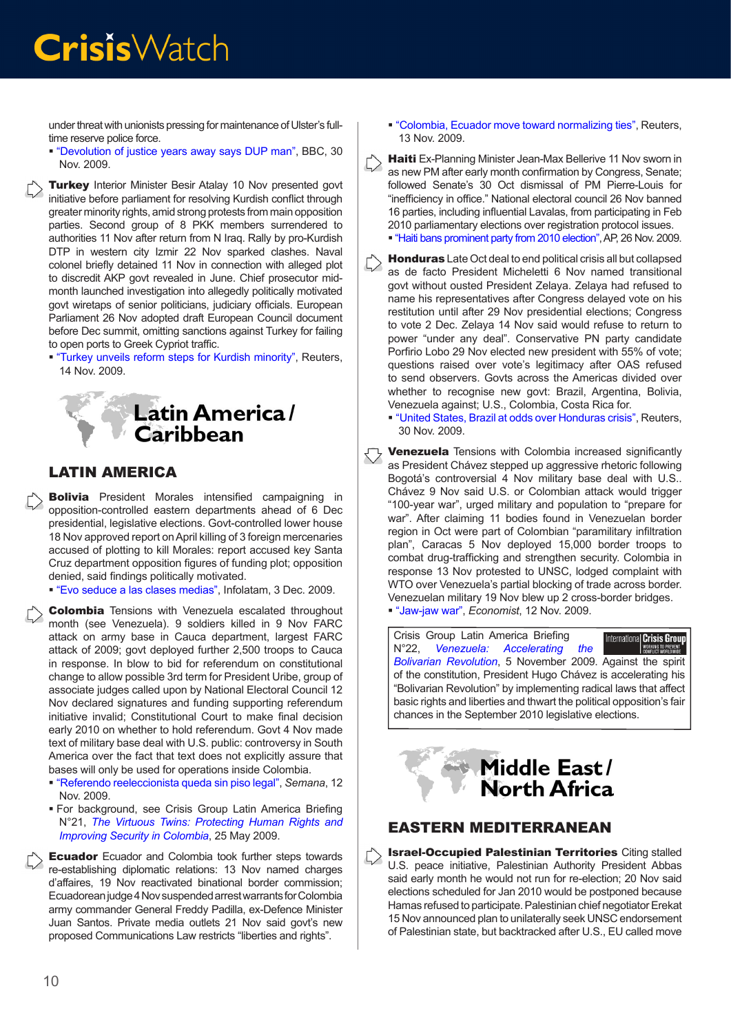under threat with unionists pressing for maintenance of Ulster's fulltime reserve police force.

 ["Devolution of justice years away says DUP man",](http://news.bbc.co.uk/2/hi/uk_news/northern_ireland/8385195.stm) BBC, 30 Nov. 2009.

**Turkey** Interior Minister Besir Atalay 10 Nov presented govt initiative before parliament for resolving Kurdish conflict through greater minority rights, amid strong protests from main opposition parties. Second group of 8 PKK members surrendered to authorities 11 Nov after return from N Iraq. Rally by pro-Kurdish DTP in western city Izmir 22 Nov sparked clashes. Naval colonel briefly detained 11 Nov in connection with alleged plot to discredit AKP govt revealed in June. Chief prosecutor midmonth launched investigation into allegedly politically motivated govt wiretaps of senior politicians, judiciary officials. European Parliament 26 Nov adopted draft European Council document before Dec summit, omitting sanctions against Turkey for failing to open ports to Greek Cypriot traffic.

 ["Turkey unveils reform steps for Kurdish minority",](http://www.dailystar.com.lb/article.asp?edition_id=10&categ_id=2&article_id=108705) Reuters, 14 Nov. 2009.



#### LATIN AMERICA

**Bolivia** President Morales intensified campaigning in opposition-controlled eastern departments ahead of 6 Dec presidential, legislative elections. Govt-controlled lower house 18 Nov approved report on April killing of 3 foreign mercenaries accused of plotting to kill Morales: report accused key Santa Cruz department opposition figures of funding plot; opposition denied, said findings politically motivated.

["Evo seduce a las clases medias"](http://www.infolatam.com/entrada/bolivia_evo_seduce_a_las_clases_medias-16972.html), Infolatam, 3 Dec. 2009.

Colombia Tensions with Venezuela escalated throughout month (see Venezuela). 9 soldiers killed in 9 Nov FARC attack on army base in Cauca department, largest FARC attack of 2009; govt deployed further 2,500 troops to Cauca in response. In blow to bid for referendum on constitutional change to allow possible 3rd term for President Uribe, group of associate judges called upon by National Electoral Council 12 Nov declared signatures and funding supporting referendum initiative invalid; Constitutional Court to make final decision early 2010 on whether to hold referendum. Govt 4 Nov made text of military base deal with U.S. public: controversy in South America over the fact that text does not explicitly assure that bases will only be used for operations inside Colombia.

- ["Referendo reeleccionista queda sin piso legal"](http://www.semana.com/noticias-politica/referendo-reeleccionista-queda-piso-legal/131295.aspx), *Semana*, 12 Nov. 2009.
- For background, see Crisis Group Latin America Briefing N°21, *[The Virtuous Twins: Protecting Human Rights and](http://www.crisisgroup.org/home/index.cfm?id=6112&l=1) [Improving Security in Colombia](http://www.crisisgroup.org/home/index.cfm?id=6112&l=1)*, 25 May 2009.

 $\sum$  Ecuador Ecuador and Colombia took further steps towards re-establishing diplomatic relations: 13 Nov named charges d'affaires, 19 Nov reactivated binational border commission; Ecuadorean judge 4 Nov suspended arrest warrants for Colombia army commander General Freddy Padilla, ex-Defence Minister Juan Santos. Private media outlets 21 Nov said govt's new proposed Communications Law restricts "liberties and rights".

 ["Colombia, Ecuador move toward normalizing ties",](http://www.alertnet.org/thenews/newsdesk/N13460890.htm) Reuters, 13 Nov. 2009.

Haiti Ex-Planning Minister Jean-Max Bellerive 11 Nov sworn in  $\left\langle \right\rangle$ as new PM after early month confirmation by Congress, Senate; followed Senate's 30 Oct dismissal of PM Pierre-Louis for "inefficiency in office." National electoral council 26 Nov banned 16 parties, including influential Lavalas, from participating in Feb 2010 parliamentary elections over registration protocol issues.

["Haiti bans prominent party from 2010 election"](http://www.miamiherald.com/news/americas/haiti/story/1353131.html), AP, 26 Nov. 2009.

- Honduras Late Oct deal to end political crisis all but collapsed as de facto President Micheletti 6 Nov named transitional govt without ousted President Zelaya. Zelaya had refused to name his representatives after Congress delayed vote on his restitution until after 29 Nov presidential elections; Congress to vote 2 Dec. Zelaya 14 Nov said would refuse to return to power "under any deal". Conservative PN party candidate Porfirio Lobo 29 Nov elected new president with 55% of vote; questions raised over vote's legitimacy after OAS refused to send observers. Govts across the Americas divided over whether to recognise new govt: Brazil, Argentina, Bolivia, Venezuela against; U.S., Colombia, Costa Rica for.
	- ["United States, Brazil at odds over Honduras crisis",](http://www.alertnet.org/thenews/newsdesk/N30428872.htm) Reuters, 30 Nov. 2009.

Venezuela Tensions with Colombia increased significantly as President Chávez stepped up aggressive rhetoric following Bogotá's controversial 4 Nov military base deal with U.S.. Chávez 9 Nov said U.S. or Colombian attack would trigger "100-year war", urged military and population to "prepare for war". After claiming 11 bodies found in Venezuelan border region in Oct were part of Colombian "paramilitary infiltration plan", Caracas 5 Nov deployed 15,000 border troops to combat drug-trafficking and strengthen security. Colombia in response 13 Nov protested to UNSC, lodged complaint with WTO over Venezuela's partial blocking of trade across border. Venezuelan military 19 Nov blew up 2 cross-border bridges. ["Jaw-jaw war"](http://www.economist.com/world/americas/displaystory.cfm?story_id=14848972), *Economist*, 12 Nov. 2009.

Crisis Group Latin America Briefing International Crisis Group N°22, *[Venezuela: Accelerating the](http:/http://www.crisisgroup.org/home/index.cfm?id=6376)*  WORKING TO PREVENT<br>CONFLICT WORLDWIDE *[Bolivarian Revolution](http:/http://www.crisisgroup.org/home/index.cfm?id=6376)*, 5 November 2009. Against the spirit of the constitution, President Hugo Chávez is accelerating his "Bolivarian Revolution" by implementing radical laws that affect basic rights and liberties and thwart the political opposition's fair chances in the September 2010 legislative elections.



#### EASTERN MEDITERRANEAN

Israel-Occupied Palestinian Territories Citing stalled U.S. peace initiative, Palestinian Authority President Abbas said early month he would not run for re-election; 20 Nov said elections scheduled for Jan 2010 would be postponed because Hamas refused to participate. Palestinian chief negotiator Erekat 15 Nov announced plan to unilaterally seek UNSC endorsement of Palestinian state, but backtracked after U.S., EU called move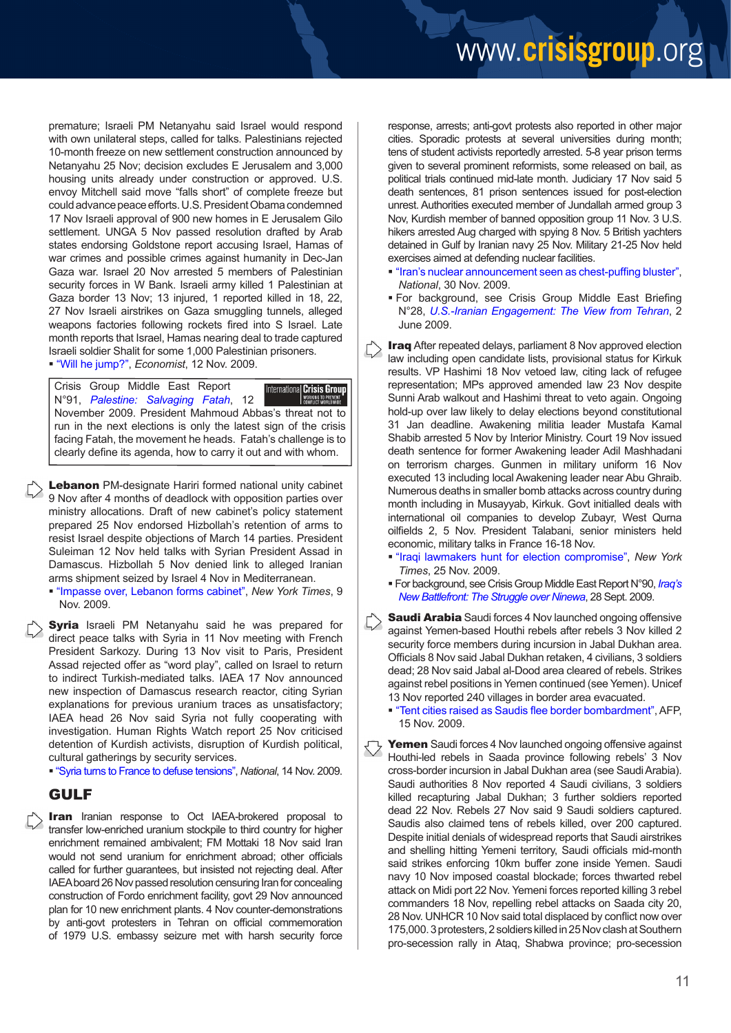### www.crisisgroup.org

premature; Israeli PM Netanyahu said Israel would respond with own unilateral steps, called for talks. Palestinians rejected 10-month freeze on new settlement construction announced by Netanyahu 25 Nov; decision excludes E Jerusalem and 3,000 housing units already under construction or approved. U.S. envoy Mitchell said move "falls short" of complete freeze but could advance peace efforts. U.S. President Obama condemned 17 Nov Israeli approval of 900 new homes in E Jerusalem Gilo settlement. UNGA 5 Nov passed resolution drafted by Arab states endorsing Goldstone report accusing Israel, Hamas of war crimes and possible crimes against humanity in Dec-Jan Gaza war. Israel 20 Nov arrested 5 members of Palestinian security forces in W Bank. Israeli army killed 1 Palestinian at Gaza border 13 Nov; 13 injured, 1 reported killed in 18, 22, 27 Nov Israeli airstrikes on Gaza smuggling tunnels, alleged weapons factories following rockets fired into S Israel. Late month reports that Israel, Hamas nearing deal to trade captured Israeli soldier Shalit for some 1,000 Palestinian prisoners. ["Will he jump?",](http://www.economist.com/world/middleeast-africa/displaystory.cfm?story_id=14859198) *Economist*, 12 Nov. 2009.

Crisis Group Middle East Report International Crisis Group N°91, *[Palestine: Salvaging Fatah](http://www.crisisgroup.org/home/index.cfm?id=6383&l=1)*, 12 November 2009. President Mahmoud Abbas's threat not to run in the next elections is only the latest sign of the crisis facing Fatah, the movement he heads. Fatah's challenge is to clearly define its agenda, how to carry it out and with whom.

Lebanon PM-designate Hariri formed national unity cabinet 9 Nov after 4 months of deadlock with opposition parties over ministry allocations. Draft of new cabinet's policy statement prepared 25 Nov endorsed Hizbollah's retention of arms to resist Israel despite objections of March 14 parties. President Suleiman 12 Nov held talks with Syrian President Assad in Damascus. Hizbollah 5 Nov denied link to alleged Iranian arms shipment seized by Israel 4 Nov in Mediterranean.

 ["Impasse over, Lebanon forms cabinet",](http://www.nytimes.com/2009/11/10/world/middleeast/10lebanon.html?partner=rss&emc=rss) *New York Times*, 9 Nov. 2009.

**Syria** Israeli PM Netanyahu said he was prepared for direct peace talks with Syria in 11 Nov meeting with French President Sarkozy. During 13 Nov visit to Paris, President Assad rejected offer as "word play", called on Israel to return to indirect Turkish-mediated talks. IAEA 17 Nov announced new inspection of Damascus research reactor, citing Syrian explanations for previous uranium traces as unsatisfactory; IAEA head 26 Nov said Syria not fully cooperating with investigation. Human Rights Watch report 25 Nov criticised detention of Kurdish activists, disruption of Kurdish political, cultural gatherings by security services.

["Syria turns to France to defuse tensions",](http://www.thenational.ae/apps/pbcs.dll/article?AID=/20091115/FOREIGN/711149930) *National*, 14 Nov. 2009.

#### GULF

**Iran** Iranian response to Oct IAEA-brokered proposal to transfer low-enriched uranium stockpile to third country for higher enrichment remained ambivalent; FM Mottaki 18 Nov said Iran would not send uranium for enrichment abroad; other officials called for further guarantees, but insisted not rejecting deal. After IAEA board 26 Nov passed resolution censuring Iran for concealing construction of Fordo enrichment facility, govt 29 Nov announced plan for 10 new enrichment plants. 4 Nov counter-demonstrations by anti-govt protesters in Tehran on official commemoration of 1979 U.S. embassy seizure met with harsh security force

response, arrests; anti-govt protests also reported in other major cities. Sporadic protests at several universities during month; tens of student activists reportedly arrested. 5-8 year prison terms given to several prominent reformists, some released on bail, as political trials continued mid-late month. Judiciary 17 Nov said 5 death sentences, 81 prison sentences issued for post-election unrest. Authorities executed member of Jundallah armed group 3 Nov, Kurdish member of banned opposition group 11 Nov. 3 U.S. hikers arrested Aug charged with spying 8 Nov. 5 British yachters detained in Gulf by Iranian navy 25 Nov. Military 21-25 Nov held exercises aimed at defending nuclear facilities.

- ["Iran's nuclear announcement seen as chest-puffing bluster](http://www.thenational.ae/apps/pbcs.dll/article?AID=/20091201/FOREIGN/711309835/1011/rss)", *National*, 30 Nov. 2009.
- For background, see Crisis Group Middle East Briefing N°28, *[U.S.-Iranian Engagement: The View from Tehran](http://www.crisisgroup.org/home/index.cfm?id=6131&l=1)*, 2 June 2009.
- **Iraq** After repeated delays, parliament 8 Nov approved election law including open candidate lists, provisional status for Kirkuk results. VP Hashimi 18 Nov vetoed law, citing lack of refugee representation; MPs approved amended law 23 Nov despite Sunni Arab walkout and Hashimi threat to veto again. Ongoing hold-up over law likely to delay elections beyond constitutional 31 Jan deadline. Awakening militia leader Mustafa Kamal Shabib arrested 5 Nov by Interior Ministry. Court 19 Nov issued death sentence for former Awakening leader Adil Mashhadani on terrorism charges. Gunmen in military uniform 16 Nov executed 13 including local Awakening leader near Abu Ghraib. Numerous deaths in smaller bomb attacks across country during month including in Musayyab, Kirkuk. Govt initialled deals with international oil companies to develop Zubayr, West Qurna oilfields 2, 5 Nov. President Talabani, senior ministers held economic, military talks in France 16-18 Nov.
	- ["Iraqi lawmakers hunt for election compromise",](http://www.nytimes.com/2009/11/27/world/middleeast/27iraq.html) *New York Times*, 25 Nov. 2009.
	- For background, see Crisis Group Middle East Report N°90, *[Iraq's](http://www.crisisgroup.org/home/index.cfm?id=6318&l=1)  [New Battlefront: The Struggle over Ninewa](http://www.crisisgroup.org/home/index.cfm?id=6318&l=1)*, 28 Sept. 2009.
- **Saudi Arabia** Saudi forces 4 Nov launched ongoing offensive against Yemen-based Houthi rebels after rebels 3 Nov killed 2 security force members during incursion in Jabal Dukhan area. Officials 8 Nov said Jabal Dukhan retaken, 4 civilians, 3 soldiers dead; 28 Nov said Jabal al-Dood area cleared of rebels. Strikes against rebel positions in Yemen continued (see Yemen). Unicef 13 Nov reported 240 villages in border area evacuated.

 ["Tent cities raised as Saudis flee border bombardment](http://www.dailystar.com.lb/article.asp?edition_id=10&categ_id=2&article_id=108703)", AFP, 15 Nov. 2009.

Yemen Saudi forces 4 Nov launched ongoing offensive against Houthi-led rebels in Saada province following rebels' 3 Nov cross-border incursion in Jabal Dukhan area (see Saudi Arabia). Saudi authorities 8 Nov reported 4 Saudi civilians, 3 soldiers killed recapturing Jabal Dukhan; 3 further soldiers reported dead 22 Nov. Rebels 27 Nov said 9 Saudi soldiers captured. Saudis also claimed tens of rebels killed, over 200 captured. Despite initial denials of widespread reports that Saudi airstrikes and shelling hitting Yemeni territory, Saudi officials mid-month said strikes enforcing 10km buffer zone inside Yemen. Saudi navy 10 Nov imposed coastal blockade; forces thwarted rebel attack on Midi port 22 Nov. Yemeni forces reported killing 3 rebel commanders 18 Nov, repelling rebel attacks on Saada city 20, 28 Nov. UNHCR 10 Nov said total displaced by conflict now over 175,000. 3 protesters, 2 soldiers killed in 25 Nov clash at Southern pro-secession rally in Ataq, Shabwa province; pro-secession